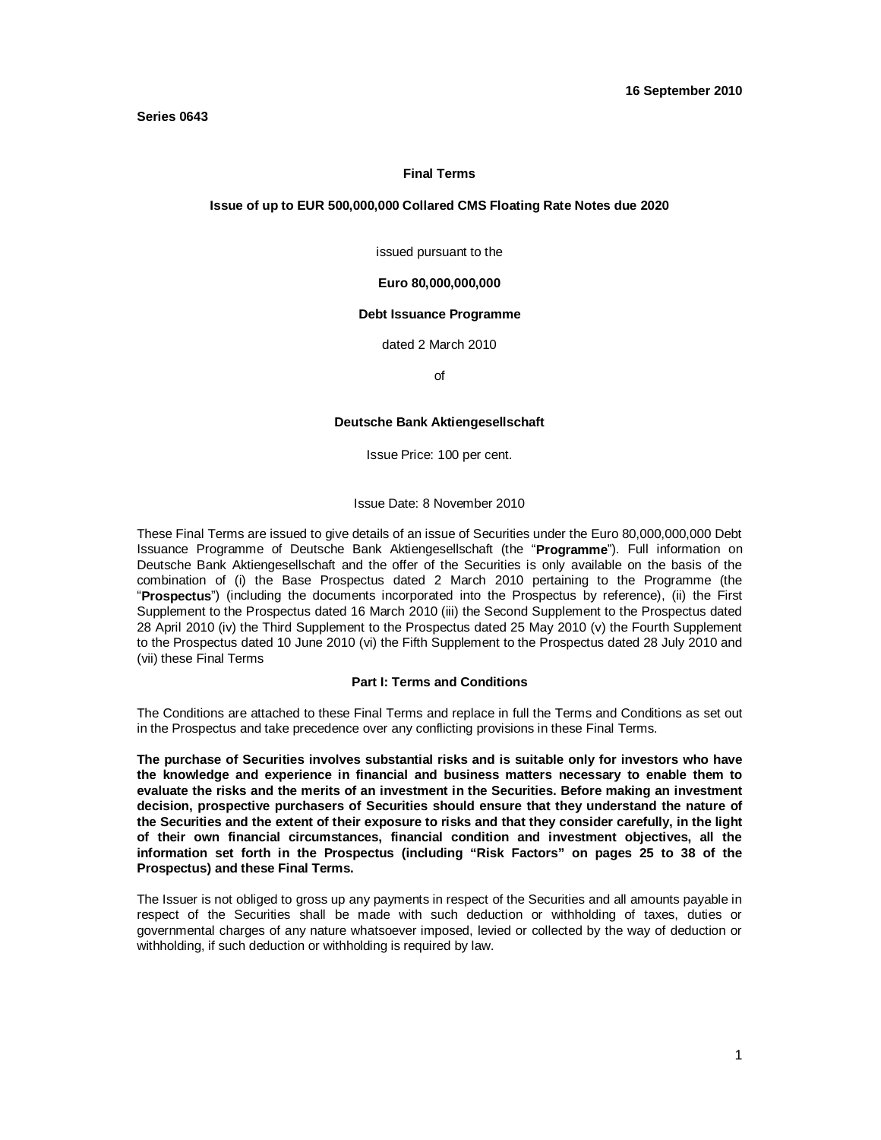#### **Final Terms**

#### **Issue of up to EUR 500,000,000 Collared CMS Floating Rate Notes due 2020**

issued pursuant to the

#### **Euro 80,000,000,000**

#### **Debt Issuance Programme**

dated 2 March 2010

of

#### **Deutsche Bank Aktiengesellschaft**

Issue Price: 100 per cent.

Issue Date: 8 November 2010

These Final Terms are issued to give details of an issue of Securities under the Euro 80,000,000,000 Debt Issuance Programme of Deutsche Bank Aktiengesellschaft (the "**Programme**"). Full information on Deutsche Bank Aktiengesellschaft and the offer of the Securities is only available on the basis of the combination of (i) the Base Prospectus dated 2 March 2010 pertaining to the Programme (the "**Prospectus**") (including the documents incorporated into the Prospectus by reference), (ii) the First Supplement to the Prospectus dated 16 March 2010 (iii) the Second Supplement to the Prospectus dated 28 April 2010 (iv) the Third Supplement to the Prospectus dated 25 May 2010 (v) the Fourth Supplement to the Prospectus dated 10 June 2010 (vi) the Fifth Supplement to the Prospectus dated 28 July 2010 and (vii) these Final Terms

#### **Part I: Terms and Conditions**

The Conditions are attached to these Final Terms and replace in full the Terms and Conditions as set out in the Prospectus and take precedence over any conflicting provisions in these Final Terms.

**The purchase of Securities involves substantial risks and is suitable only for investors who have the knowledge and experience in financial and business matters necessary to enable them to evaluate the risks and the merits of an investment in the Securities. Before making an investment decision, prospective purchasers of Securities should ensure that they understand the nature of the Securities and the extent of their exposure to risks and that they consider carefully, in the light of their own financial circumstances, financial condition and investment objectives, all the information set forth in the Prospectus (including "Risk Factors" on pages 25 to 38 of the Prospectus) and these Final Terms.**

The Issuer is not obliged to gross up any payments in respect of the Securities and all amounts payable in respect of the Securities shall be made with such deduction or withholding of taxes, duties or governmental charges of any nature whatsoever imposed, levied or collected by the way of deduction or withholding, if such deduction or withholding is required by law.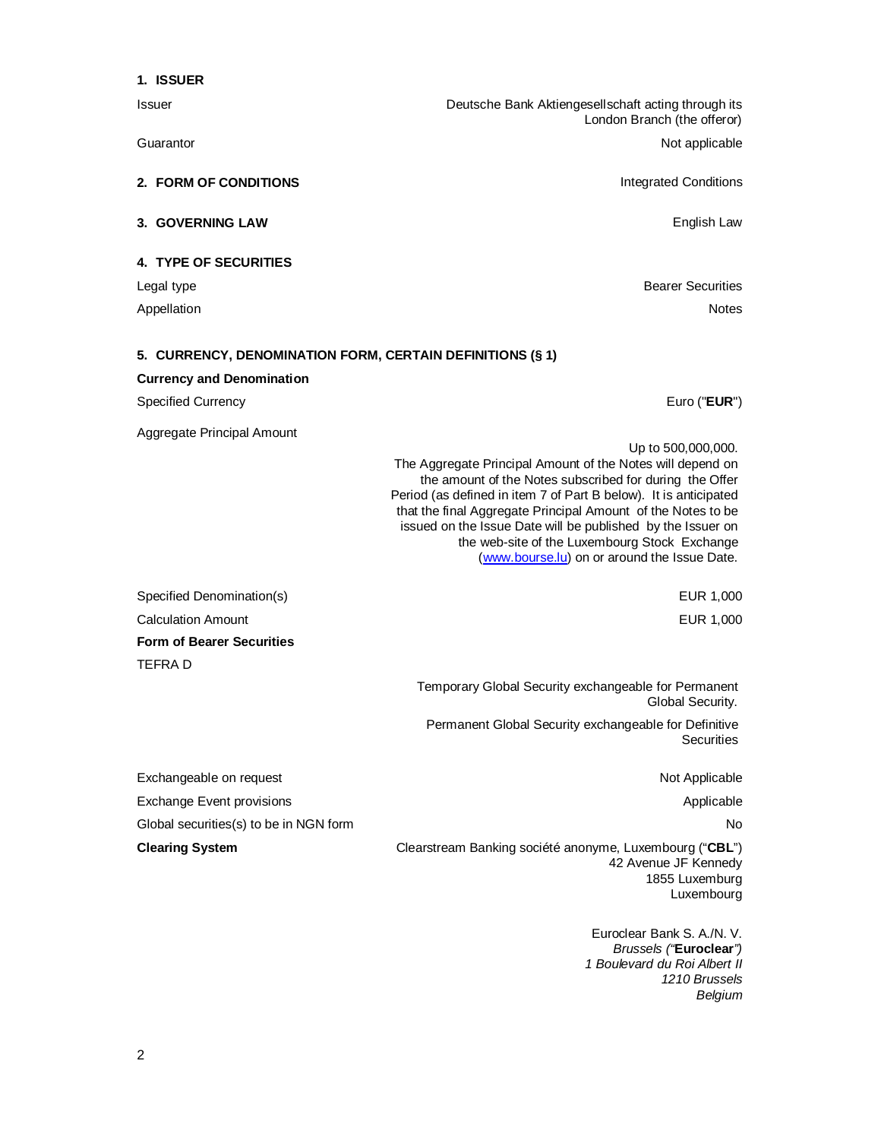| 1. ISSUER                                                 |                                                                                                                                                                                                                                                                                                                                                                                                                                                 |
|-----------------------------------------------------------|-------------------------------------------------------------------------------------------------------------------------------------------------------------------------------------------------------------------------------------------------------------------------------------------------------------------------------------------------------------------------------------------------------------------------------------------------|
| Issuer                                                    | Deutsche Bank Aktiengesellschaft acting through its<br>London Branch (the offeror)                                                                                                                                                                                                                                                                                                                                                              |
| Guarantor                                                 | Not applicable                                                                                                                                                                                                                                                                                                                                                                                                                                  |
| 2. FORM OF CONDITIONS                                     | <b>Integrated Conditions</b>                                                                                                                                                                                                                                                                                                                                                                                                                    |
| <b>3. GOVERNING LAW</b>                                   | English Law                                                                                                                                                                                                                                                                                                                                                                                                                                     |
| <b>4. TYPE OF SECURITIES</b>                              |                                                                                                                                                                                                                                                                                                                                                                                                                                                 |
| Legal type                                                | <b>Bearer Securities</b>                                                                                                                                                                                                                                                                                                                                                                                                                        |
| Appellation                                               | <b>Notes</b>                                                                                                                                                                                                                                                                                                                                                                                                                                    |
| 5. CURRENCY, DENOMINATION FORM, CERTAIN DEFINITIONS (§ 1) |                                                                                                                                                                                                                                                                                                                                                                                                                                                 |
| <b>Currency and Denomination</b>                          |                                                                                                                                                                                                                                                                                                                                                                                                                                                 |
| <b>Specified Currency</b>                                 | Euro (" <b>EUR</b> ")                                                                                                                                                                                                                                                                                                                                                                                                                           |
| Aggregate Principal Amount                                |                                                                                                                                                                                                                                                                                                                                                                                                                                                 |
|                                                           | Up to 500,000,000.<br>The Aggregate Principal Amount of the Notes will depend on<br>the amount of the Notes subscribed for during the Offer<br>Period (as defined in item 7 of Part B below). It is anticipated<br>that the final Aggregate Principal Amount of the Notes to be<br>issued on the Issue Date will be published by the Issuer on<br>the web-site of the Luxembourg Stock Exchange<br>(www.bourse.lu) on or around the Issue Date. |
| Specified Denomination(s)                                 | EUR 1,000                                                                                                                                                                                                                                                                                                                                                                                                                                       |
| <b>Calculation Amount</b>                                 | EUR 1,000                                                                                                                                                                                                                                                                                                                                                                                                                                       |
| <b>Form of Bearer Securities</b>                          |                                                                                                                                                                                                                                                                                                                                                                                                                                                 |
| <b>TEFRAD</b>                                             |                                                                                                                                                                                                                                                                                                                                                                                                                                                 |
|                                                           | Temporary Global Security exchangeable for Permanent<br>Global Security.                                                                                                                                                                                                                                                                                                                                                                        |
|                                                           | Permanent Global Security exchangeable for Definitive<br>Securities                                                                                                                                                                                                                                                                                                                                                                             |
| Exchangeable on request                                   | Not Applicable                                                                                                                                                                                                                                                                                                                                                                                                                                  |
| <b>Exchange Event provisions</b>                          | Applicable                                                                                                                                                                                                                                                                                                                                                                                                                                      |
| Global securities(s) to be in NGN form                    | No.                                                                                                                                                                                                                                                                                                                                                                                                                                             |
| <b>Clearing System</b>                                    | Clearstream Banking société anonyme, Luxembourg ("CBL")<br>42 Avenue JF Kennedy<br>1855 Luxemburg<br>Luxembourg                                                                                                                                                                                                                                                                                                                                 |
|                                                           | Euroclear Bank S. A./N. V.<br>Brussels ("Euroclear")                                                                                                                                                                                                                                                                                                                                                                                            |

*Brussels ("***Euroclear***") 1 Boulevard du Roi Albert II 1210 Brussels Belgium*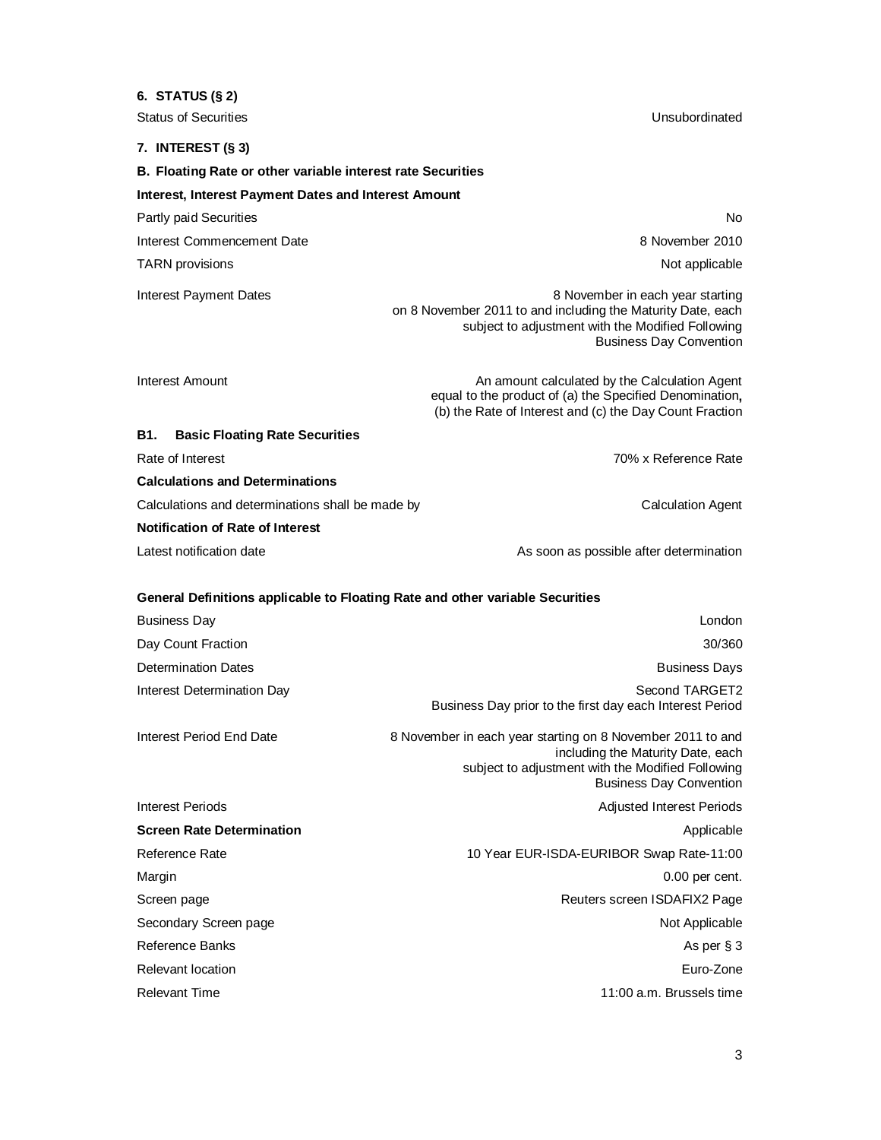# **6. STATUS (§ 2)** Status of Securities **Status of Securities** Unsubordinated **7. INTEREST (§ 3) B. Floating Rate or other variable interest rate Securities Interest, Interest Payment Dates and Interest Amount** Partly paid Securities No. 2008. The state of the state of the state of the state of the state of the state of the state of the state of the state of the state of the state of the state of the state of the state of the sta Interest Commencement Date 8 November 2010 TARN provisions **Not applicable** that the state of the state of the state of the state of the state of the state of the state of the state of the state of the state of the state of the state of the state of the state of th Interest Payment Dates 8 November in each year starting on 8 November 2011 to and including the Maturity Date, each subject to adjustment with the Modified Following Business Day Convention Interest Amount **An amount Calculated by the Calculation Agent** An amount calculated by the Calculation Agent equal to the product of (a) the Specified Denomination**,** (b) the Rate of Interest and (c) the Day Count Fraction **B1. Basic Floating Rate Securities** Rate of Interest **Rate of Interest** 70% x Reference Rate **Calculations and Determinations** Calculations and determinations shall be made by Calculation Agent Calculation Agent **Notification of Rate of Interest** Latest notification date As soon as possible after determination **General Definitions applicable to Floating Rate and other variable Securities** Business Day London Day Count Fraction 30/360 **Determination Dates Business Days Determination Dates Business Days** Interest Determination Day **Second TARGET2** and the second TARGET2 Business Day prior to the first day each Interest Period Interest Period End Date 8 November in each year starting on 8 November 2011 to and including the Maturity Date, each subject to adjustment with the Modified Following Business Day Convention Interest Periods **Adjusted Interest Periods** Adjusted Interest Periods **Screen Rate Determination** Applicable Applicable Applicable Applicable Applicable Applicable Applicable Applicable Reference Rate 11:00 Reference Rate-11:00 Margin **Margin** 0.00 per cent. Screen page **Reuters screen ISDAFIX2 Page** Reuters screen ISDAFIX2 Page Secondary Screen page Not Applicable Not Applicable Reference Banks As per § 3

Relevant location **Euro-Zone** 

Relevant Time **11:00 a.m.** Brussels time 11:00 a.m. Brussels time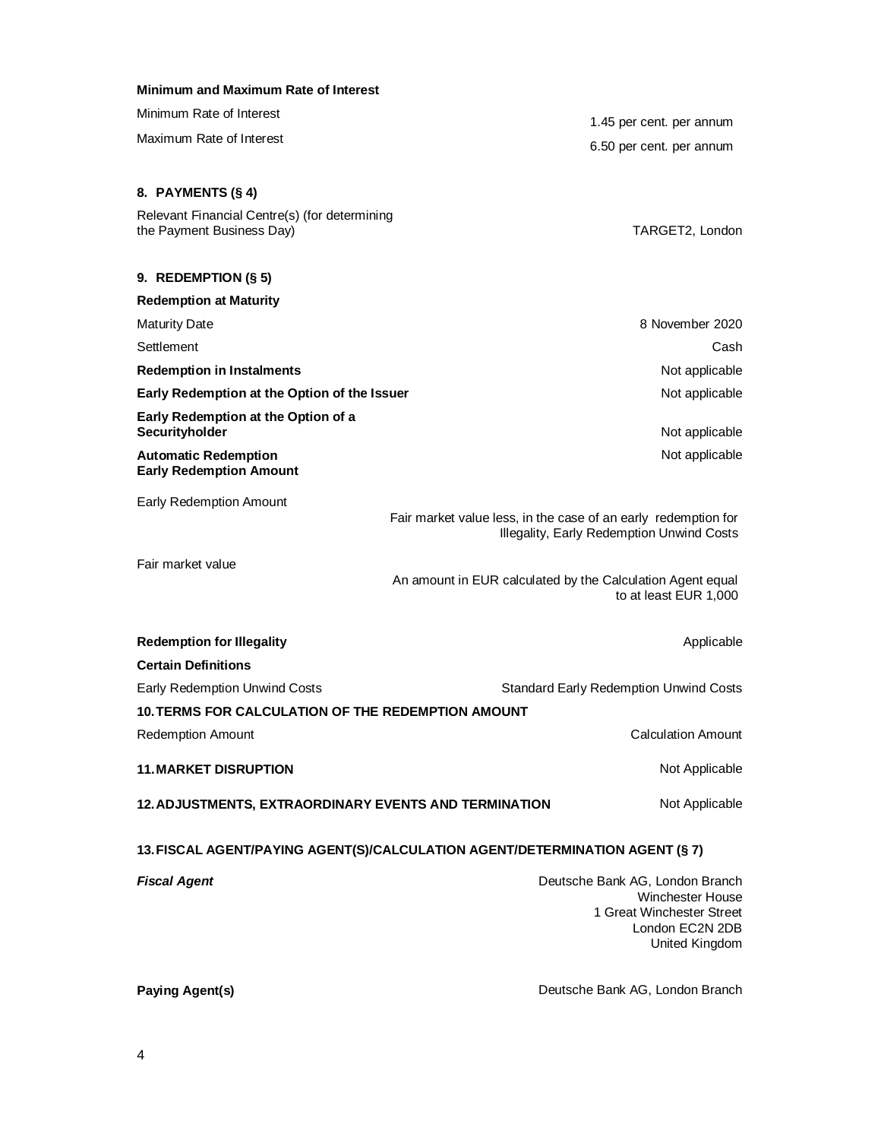| Minimum and Maximum Rate of Interest                                         |                                                                                                             |  |  |
|------------------------------------------------------------------------------|-------------------------------------------------------------------------------------------------------------|--|--|
| Minimum Rate of Interest                                                     | 1.45 per cent. per annum                                                                                    |  |  |
| Maximum Rate of Interest                                                     | 6.50 per cent. per annum                                                                                    |  |  |
|                                                                              |                                                                                                             |  |  |
| 8. PAYMENTS (§ 4)                                                            |                                                                                                             |  |  |
| Relevant Financial Centre(s) (for determining                                |                                                                                                             |  |  |
| the Payment Business Day)                                                    | TARGET2, London                                                                                             |  |  |
| 9. REDEMPTION $(\S 5)$                                                       |                                                                                                             |  |  |
| <b>Redemption at Maturity</b>                                                |                                                                                                             |  |  |
| <b>Maturity Date</b>                                                         | 8 November 2020                                                                                             |  |  |
| Settlement                                                                   | Cash                                                                                                        |  |  |
| <b>Redemption in Instalments</b>                                             | Not applicable                                                                                              |  |  |
| Early Redemption at the Option of the Issuer                                 | Not applicable                                                                                              |  |  |
| Early Redemption at the Option of a<br>Securityholder                        | Not applicable                                                                                              |  |  |
| <b>Automatic Redemption</b><br><b>Early Redemption Amount</b>                | Not applicable                                                                                              |  |  |
| <b>Early Redemption Amount</b>                                               |                                                                                                             |  |  |
|                                                                              | Fair market value less, in the case of an early redemption for<br>Illegality, Early Redemption Unwind Costs |  |  |
| Fair market value                                                            | An amount in EUR calculated by the Calculation Agent equal<br>to at least EUR 1,000                         |  |  |
| <b>Redemption for Illegality</b>                                             | Applicable                                                                                                  |  |  |
| <b>Certain Definitions</b>                                                   |                                                                                                             |  |  |
| <b>Early Redemption Unwind Costs</b>                                         | <b>Standard Early Redemption Unwind Costs</b>                                                               |  |  |
| 10.TERMS FOR CALCULATION OF THE REDEMPTION AMOUNT                            |                                                                                                             |  |  |
| <b>Redemption Amount</b>                                                     | <b>Calculation Amount</b>                                                                                   |  |  |
| <b>11. MARKET DISRUPTION</b>                                                 | Not Applicable                                                                                              |  |  |
| 12. ADJUSTMENTS, EXTRAORDINARY EVENTS AND TERMINATION                        | Not Applicable                                                                                              |  |  |
| 13. FISCAL AGENT/PAYING AGENT(S)/CALCULATION AGENT/DETERMINATION AGENT (§ 7) |                                                                                                             |  |  |
| <b>Fiscal Agent</b>                                                          | Deutsche Bank AG, London Branch                                                                             |  |  |
|                                                                              | <b>Winchester House</b><br>1 Great Winchester Street                                                        |  |  |
|                                                                              | London EC2N 2DB                                                                                             |  |  |

Paying Agent(s) **Paying Agent Paying Agent Condon Branch** 

United Kingdom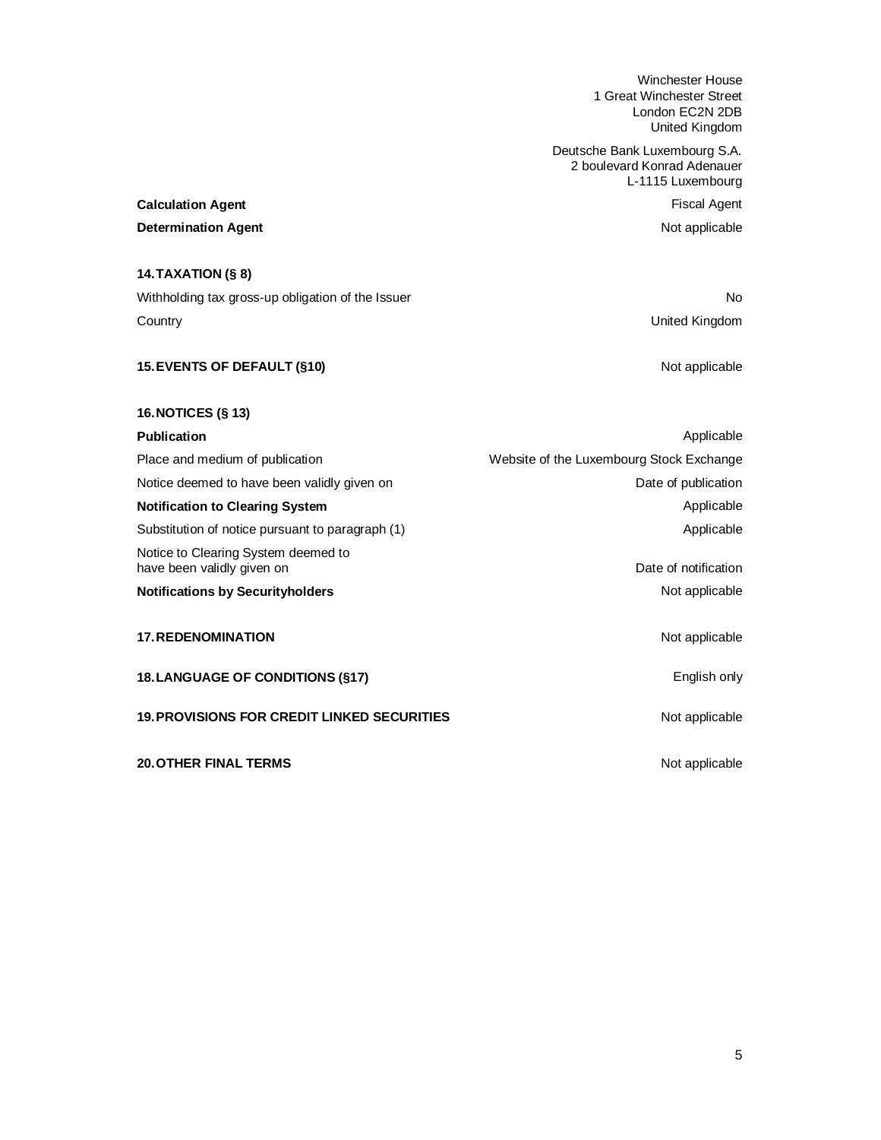Winchester House 1 Great Winchester Street London EC2N 2DB United Kingdom

Deutsche Bank Luxembourg S.A. 2 boulevard Konrad Adenauer L-1115 Luxembourg

**Determination Agent** Not applicable

# **Calculation Agent Calculation Agent Fiscal Agent**

# **14. TAXATION (§ 8)**

Withholding tax gross-up obligation of the Issuer No and the Issue No and the Issue No and the Issue No and the Issue No and the Issue No and the Issue No and the Issue Islamic No and the Issue Islamic Islamic No and the I Country United Kingdom

# **15. EVENTS OF DEFAULT (§10)** Not applicable

# **16. NOTICES (§ 13)**

| <b>Publication</b>                                                | Applicable                               |
|-------------------------------------------------------------------|------------------------------------------|
| Place and medium of publication                                   | Website of the Luxembourg Stock Exchange |
| Notice deemed to have been validly given on                       | Date of publication                      |
| <b>Notification to Clearing System</b>                            | Applicable                               |
| Substitution of notice pursuant to paragraph (1)                  | Applicable                               |
| Notice to Clearing System deemed to<br>have been validly given on | Date of notification                     |
| <b>Notifications by Securityholders</b>                           | Not applicable                           |
| <b>17. REDENOMINATION</b>                                         | Not applicable                           |
| <b>18. LANGUAGE OF CONDITIONS (§17)</b>                           | English only                             |
| <b>19. PROVISIONS FOR CREDIT LINKED SECURITIES</b>                | Not applicable                           |
| <b>20. OTHER FINAL TERMS</b>                                      | Not applicable                           |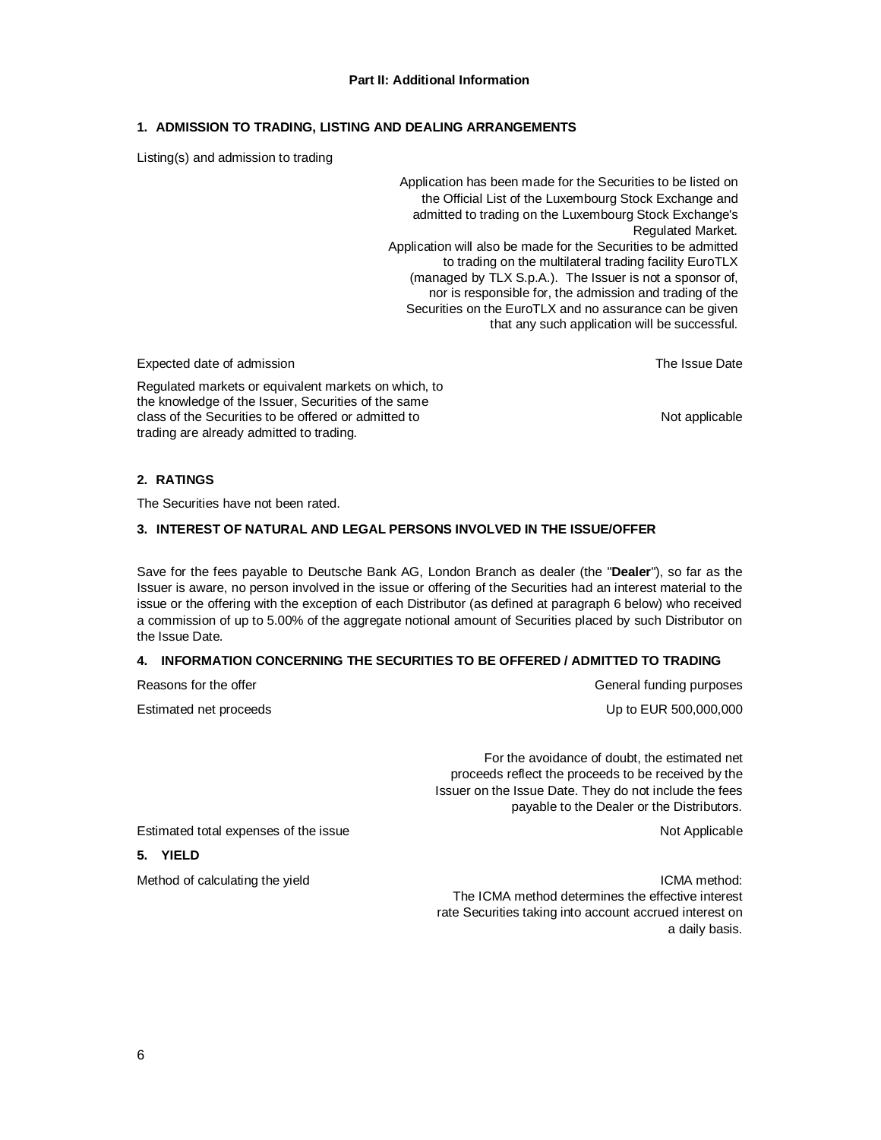#### **Part II: Additional Information**

# **1. ADMISSION TO TRADING, LISTING AND DEALING ARRANGEMENTS**

Listing(s) and admission to trading

Application has been made for the Securities to be listed on the Official List of the Luxembourg Stock Exchange and admitted to trading on the Luxembourg Stock Exchange's Regulated Market. Application will also be made for the Securities to be admitted to trading on the multilateral trading facility EuroTLX (managed by TLX S.p.A.). The Issuer is not a sponsor of, nor is responsible for, the admission and trading of the Securities on the EuroTLX and no assurance can be given that any such application will be successful.

Expected date of admission The Issue Date of a structure of the Issue Date of a structure of the Issue Date of the Issue Date

Regulated markets or equivalent markets on which, to the knowledge of the Issuer, Securities of the same class of the Securities to be offered or admitted to Not applicable Not applicable trading are already admitted to trading.

#### **2. RATINGS**

The Securities have not been rated.

## **3. INTEREST OF NATURAL AND LEGAL PERSONS INVOLVED IN THE ISSUE/OFFER**

Save for the fees payable to Deutsche Bank AG, London Branch as dealer (the "**Dealer**"), so far as the Issuer is aware, no person involved in the issue or offering of the Securities had an interest material to the issue or the offering with the exception of each Distributor (as defined at paragraph 6 below) who received a commission of up to 5.00% of the aggregate notional amount of Securities placed by such Distributor on the Issue Date.

#### **4. INFORMATION CONCERNING THE SECURITIES TO BE OFFERED / ADMITTED TO TRADING**

| Reasons for the offer  |
|------------------------|
| Estimated net proceeds |

General funding purposes Up to EUR 500,000,000

For the avoidance of doubt, the estimated net proceeds reflect the proceeds to be received by the Issuer on the Issue Date. They do not include the fees payable to the Dealer or the Distributors.

Estimated total expenses of the issue Not Applicable Not Applicable

# **5. YIELD**

Method of calculating the yield **ICMA method:** ICMA method: The ICMA method determines the effective interest rate Securities taking into account accrued interest on a daily basis.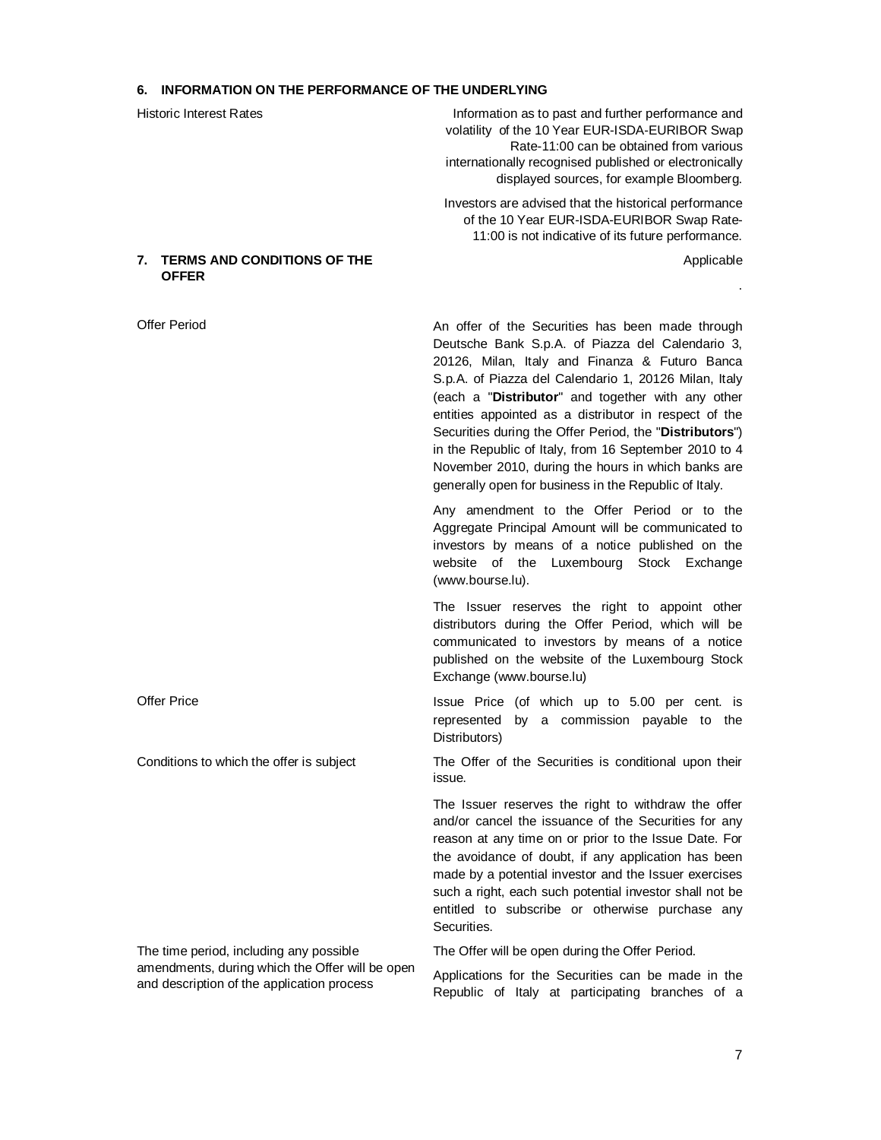# **6. INFORMATION ON THE PERFORMANCE OF THE UNDERLYING**

| <b>Historic Interest Rates</b>                                                                                                           | Information as to past and further performance and<br>volatility of the 10 Year EUR-ISDA-EURIBOR Swap<br>Rate-11:00 can be obtained from various<br>internationally recognised published or electronically<br>displayed sources, for example Bloomberg.                                                                                                                                                                                                                                                                                                          |
|------------------------------------------------------------------------------------------------------------------------------------------|------------------------------------------------------------------------------------------------------------------------------------------------------------------------------------------------------------------------------------------------------------------------------------------------------------------------------------------------------------------------------------------------------------------------------------------------------------------------------------------------------------------------------------------------------------------|
|                                                                                                                                          | Investors are advised that the historical performance<br>of the 10 Year EUR-ISDA-EURIBOR Swap Rate-<br>11:00 is not indicative of its future performance.                                                                                                                                                                                                                                                                                                                                                                                                        |
| <b>TERMS AND CONDITIONS OF THE</b><br>7.<br><b>OFFER</b>                                                                                 | Applicable                                                                                                                                                                                                                                                                                                                                                                                                                                                                                                                                                       |
|                                                                                                                                          |                                                                                                                                                                                                                                                                                                                                                                                                                                                                                                                                                                  |
| <b>Offer Period</b>                                                                                                                      | An offer of the Securities has been made through<br>Deutsche Bank S.p.A. of Piazza del Calendario 3,<br>20126, Milan, Italy and Finanza & Futuro Banca<br>S.p.A. of Piazza del Calendario 1, 20126 Milan, Italy<br>(each a "Distributor" and together with any other<br>entities appointed as a distributor in respect of the<br>Securities during the Offer Period, the "Distributors")<br>in the Republic of Italy, from 16 September 2010 to 4<br>November 2010, during the hours in which banks are<br>generally open for business in the Republic of Italy. |
|                                                                                                                                          | Any amendment to the Offer Period or to the<br>Aggregate Principal Amount will be communicated to<br>investors by means of a notice published on the<br>website of the Luxembourg Stock Exchange<br>(www.bourse.lu).                                                                                                                                                                                                                                                                                                                                             |
|                                                                                                                                          | The Issuer reserves the right to appoint other<br>distributors during the Offer Period, which will be<br>communicated to investors by means of a notice<br>published on the website of the Luxembourg Stock<br>Exchange (www.bourse.lu)                                                                                                                                                                                                                                                                                                                          |
| <b>Offer Price</b>                                                                                                                       | Issue Price (of which up to 5.00 per cent. is<br>by a commission payable to the<br>represented<br>Distributors)                                                                                                                                                                                                                                                                                                                                                                                                                                                  |
| Conditions to which the offer is subject                                                                                                 | The Offer of the Securities is conditional upon their<br>issue.                                                                                                                                                                                                                                                                                                                                                                                                                                                                                                  |
|                                                                                                                                          | The Issuer reserves the right to withdraw the offer<br>and/or cancel the issuance of the Securities for any<br>reason at any time on or prior to the Issue Date. For<br>the avoidance of doubt, if any application has been<br>made by a potential investor and the Issuer exercises<br>such a right, each such potential investor shall not be<br>entitled to subscribe or otherwise purchase any<br>Securities.                                                                                                                                                |
| The time period, including any possible<br>amendments, during which the Offer will be open<br>and description of the application process | The Offer will be open during the Offer Period.                                                                                                                                                                                                                                                                                                                                                                                                                                                                                                                  |
|                                                                                                                                          | Applications for the Securities can be made in the<br>Republic of Italy at participating branches of a                                                                                                                                                                                                                                                                                                                                                                                                                                                           |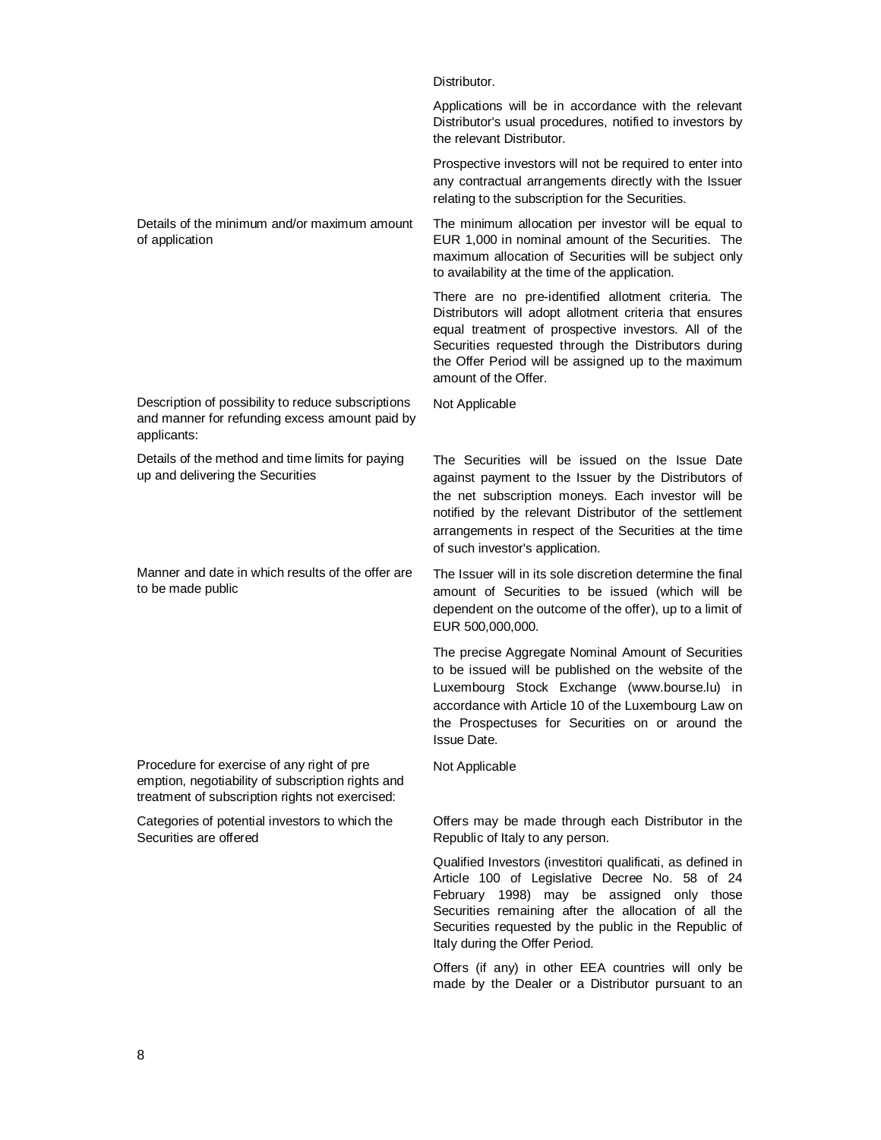Distributor.

Applications will be in accordance with the relevant Distributor's usual procedures, notified to investors by the relevant Distributor.

Prospective investors will not be required to enter into any contractual arrangements directly with the Issuer relating to the subscription for the Securities.

Details of the minimum and/or maximum amount of application The minimum allocation per investor will be equal to EUR 1,000 in nominal amount of the Securities. The maximum allocation of Securities will be subject only to availability at the time of the application.

> There are no pre-identified allotment criteria. The Distributors will adopt allotment criteria that ensures equal treatment of prospective investors. All of the Securities requested through the Distributors during the Offer Period will be assigned up to the maximum amount of the Offer.

Description of possibility to reduce subscriptions and manner for refunding excess amount paid by applicants:

Details of the method and time limits for paying up and delivering the Securities

Manner and date in which results of the offer are to be made public

Procedure for exercise of any right of pre emption, negotiability of subscription rights and treatment of subscription rights not exercised:

Categories of potential investors to which the Securities are offered

Not Applicable

The Securities will be issued on the Issue Date against payment to the Issuer by the Distributors of the net subscription moneys. Each investor will be notified by the relevant Distributor of the settlement arrangements in respect of the Securities at the time of such investor's application.

The Issuer will in its sole discretion determine the final amount of Securities to be issued (which will be dependent on the outcome of the offer), up to a limit of EUR 500,000,000.

The precise Aggregate Nominal Amount of Securities to be issued will be published on the website of the Luxembourg Stock Exchange ([www.bourse.lu](http://www.bourse.lu)) in accordance with Article 10 of the Luxembourg Law on the Prospectuses for Securities on or around the Issue Date.

Not Applicable

Offers may be made through each Distributor in the Republic of Italy to any person.

Qualified Investors (investitori qualificati, as defined in Article 100 of Legislative Decree No. 58 of 24 February 1998) may be assigned only those Securities remaining after the allocation of all the Securities requested by the public in the Republic of Italy during the Offer Period.

Offers (if any) in other EEA countries will only be made by the Dealer or a Distributor pursuant to an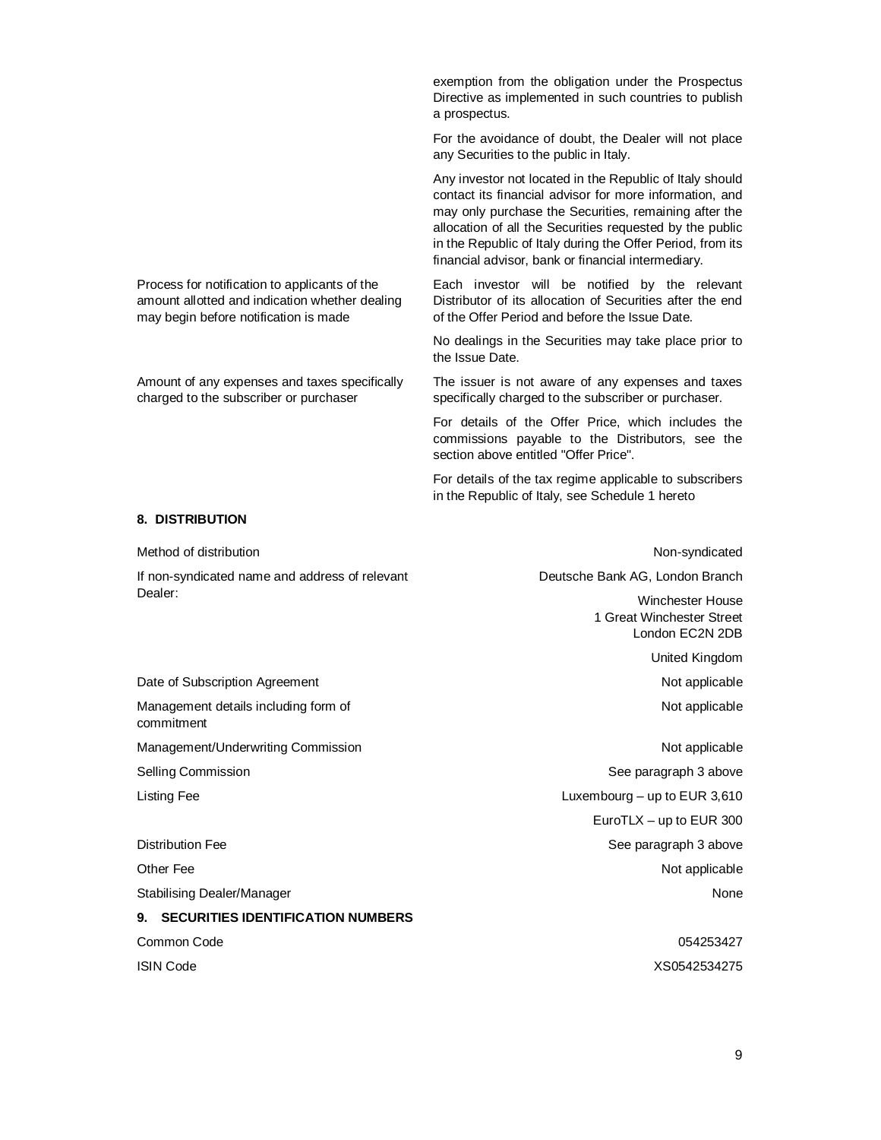exemption from the obligation under the Prospectus Directive as implemented in such countries to publish a prospectus.

For the avoidance of doubt, the Dealer will not place any Securities to the public in Italy.

Any investor not located in the Republic of Italy should contact its financial advisor for more information, and may only purchase the Securities, remaining after the allocation of all the Securities requested by the public in the Republic of Italy during the Offer Period, from its financial advisor, bank or financial intermediary.

Each investor will be notified by the relevant Distributor of its allocation of Securities after the end of the Offer Period and before the Issue Date.

No dealings in the Securities may take place prior to the Issue Date.

The issuer is not aware of any expenses and taxes specifically charged to the subscriber or purchaser.

For details of the Offer Price, which includes the commissions payable to the Distributors, see the section above entitled "Offer Price".

For details of the tax regime applicable to subscribers in the Republic of Italy, see Schedule 1 hereto

#### **8. DISTRIBUTION**

Process for notification to applicants of the amount allotted and indication whether dealing

Amount of any expenses and taxes specifically charged to the subscriber or purchaser

may begin before notification is made

| Method of distribution                             | Non-syndicated                                                          |
|----------------------------------------------------|-------------------------------------------------------------------------|
| If non-syndicated name and address of relevant     | Deutsche Bank AG, London Branch                                         |
| Dealer:                                            | <b>Winchester House</b><br>1 Great Winchester Street<br>London EC2N 2DB |
|                                                    | United Kingdom                                                          |
| Date of Subscription Agreement                     | Not applicable                                                          |
| Management details including form of<br>commitment | Not applicable                                                          |
| Management/Underwriting Commission                 | Not applicable                                                          |
| Selling Commission                                 | See paragraph 3 above                                                   |
| Listing Fee                                        | Luxembourg $-$ up to EUR 3,610                                          |
|                                                    | EuroTLX - up to EUR 300                                                 |
| <b>Distribution Fee</b>                            | See paragraph 3 above                                                   |
| Other Fee                                          | Not applicable                                                          |
| Stabilising Dealer/Manager                         | None                                                                    |
| <b>SECURITIES IDENTIFICATION NUMBERS</b><br>9.     |                                                                         |
| Common Code                                        | 054253427                                                               |
| <b>ISIN Code</b>                                   | XS0542534275                                                            |
|                                                    |                                                                         |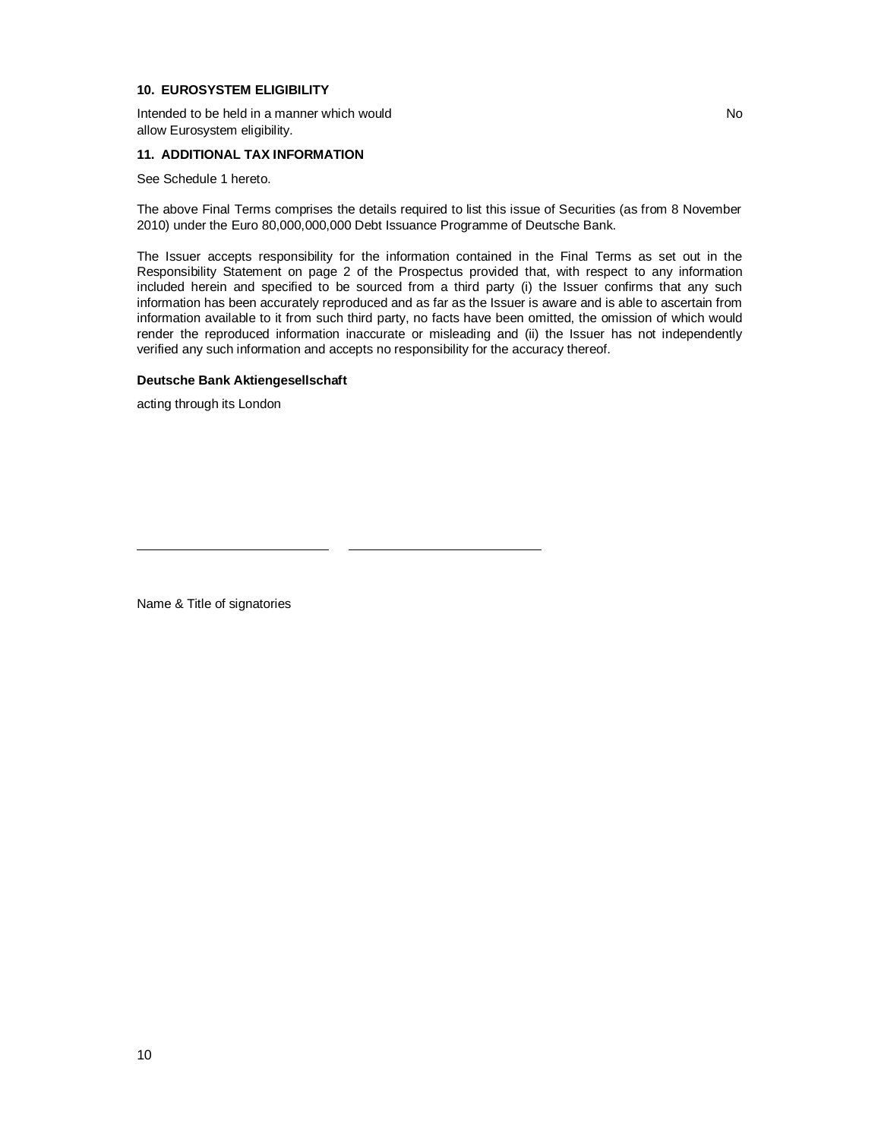### **10. EUROSYSTEM ELIGIBILITY**

Intended to be held in a manner which would allow Eurosystem eligibility.

#### **11. ADDITIONAL TAX INFORMATION**

See Schedule 1 hereto.

The above Final Terms comprises the details required to list this issue of Securities (as from 8 November 2010) under the Euro 80,000,000,000 Debt Issuance Programme of Deutsche Bank.

The Issuer accepts responsibility for the information contained in the Final Terms as set out in the Responsibility Statement on page 2 of the Prospectus provided that, with respect to any information included herein and specified to be sourced from a third party (i) the Issuer confirms that any such information has been accurately reproduced and as far as the Issuer is aware and is able to ascertain from information available to it from such third party, no facts have been omitted, the omission of which would render the reproduced information inaccurate or misleading and (ii) the Issuer has not independently verified any such information and accepts no responsibility for the accuracy thereof.

#### **Deutsche Bank Aktiengesellschaft**

acting through its London

Name & Title of signatories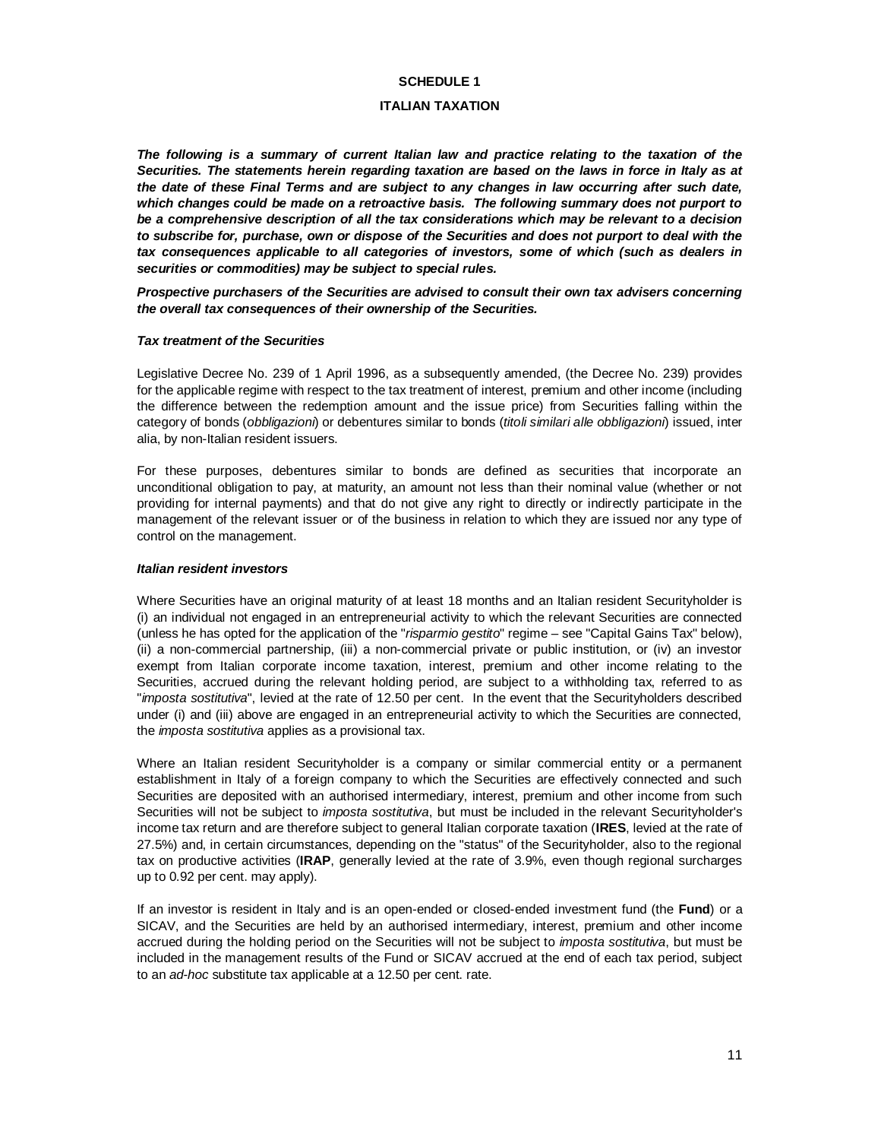#### **SCHEDULE 1**

#### **ITALIAN TAXATION**

*The following is a summary of current Italian law and practice relating to the taxation of the Securities. The statements herein regarding taxation are based on the laws in force in Italy as at the date of these Final Terms and are subject to any changes in law occurring after such date, which changes could be made on a retroactive basis. The following summary does not purport to be a comprehensive description of all the tax considerations which may be relevant to a decision to subscribe for, purchase, own or dispose of the Securities and does not purport to deal with the tax consequences applicable to all categories of investors, some of which (such as dealers in securities or commodities) may be subject to special rules.*

*Prospective purchasers of the Securities are advised to consult their own tax advisers concerning the overall tax consequences of their ownership of the Securities.*

#### *Tax treatment of the Securities*

Legislative Decree No. 239 of 1 April 1996, as a subsequently amended, (the Decree No. 239) provides for the applicable regime with respect to the tax treatment of interest, premium and other income (including the difference between the redemption amount and the issue price) from Securities falling within the category of bonds (*obbligazioni*) or debentures similar to bonds (*titoli similari alle obbligazioni*) issued, inter alia, by non-Italian resident issuers.

For these purposes, debentures similar to bonds are defined as securities that incorporate an unconditional obligation to pay, at maturity, an amount not less than their nominal value (whether or not providing for internal payments) and that do not give any right to directly or indirectly participate in the management of the relevant issuer or of the business in relation to which they are issued nor any type of control on the management.

#### *Italian resident investors*

Where Securities have an original maturity of at least 18 months and an Italian resident Securityholder is (i) an individual not engaged in an entrepreneurial activity to which the relevant Securities are connected (unless he has opted for the application of the "*risparmio gestito*" regime – see "Capital Gains Tax" below), (ii) a non-commercial partnership, (iii) a non-commercial private or public institution, or (iv) an investor exempt from Italian corporate income taxation, interest, premium and other income relating to the Securities, accrued during the relevant holding period, are subject to a withholding tax, referred to as "*imposta sostitutiva*", levied at the rate of 12.50 per cent. In the event that the Securityholders described under (i) and (iii) above are engaged in an entrepreneurial activity to which the Securities are connected, the *imposta sostitutiva* applies as a provisional tax.

Where an Italian resident Securityholder is a company or similar commercial entity or a permanent establishment in Italy of a foreign company to which the Securities are effectively connected and such Securities are deposited with an authorised intermediary, interest, premium and other income from such Securities will not be subject to *imposta sostitutiva*, but must be included in the relevant Securityholder's income tax return and are therefore subject to general Italian corporate taxation (**IRES**, levied at the rate of 27.5%) and, in certain circumstances, depending on the "status" of the Securityholder, also to the regional tax on productive activities (**IRAP**, generally levied at the rate of 3.9%, even though regional surcharges up to 0.92 per cent. may apply).

If an investor is resident in Italy and is an open-ended or closed-ended investment fund (the **Fund**) or a SICAV, and the Securities are held by an authorised intermediary, interest, premium and other income accrued during the holding period on the Securities will not be subject to *imposta sostitutiva*, but must be included in the management results of the Fund or SICAV accrued at the end of each tax period, subject to an *ad-hoc* substitute tax applicable at a 12.50 per cent. rate.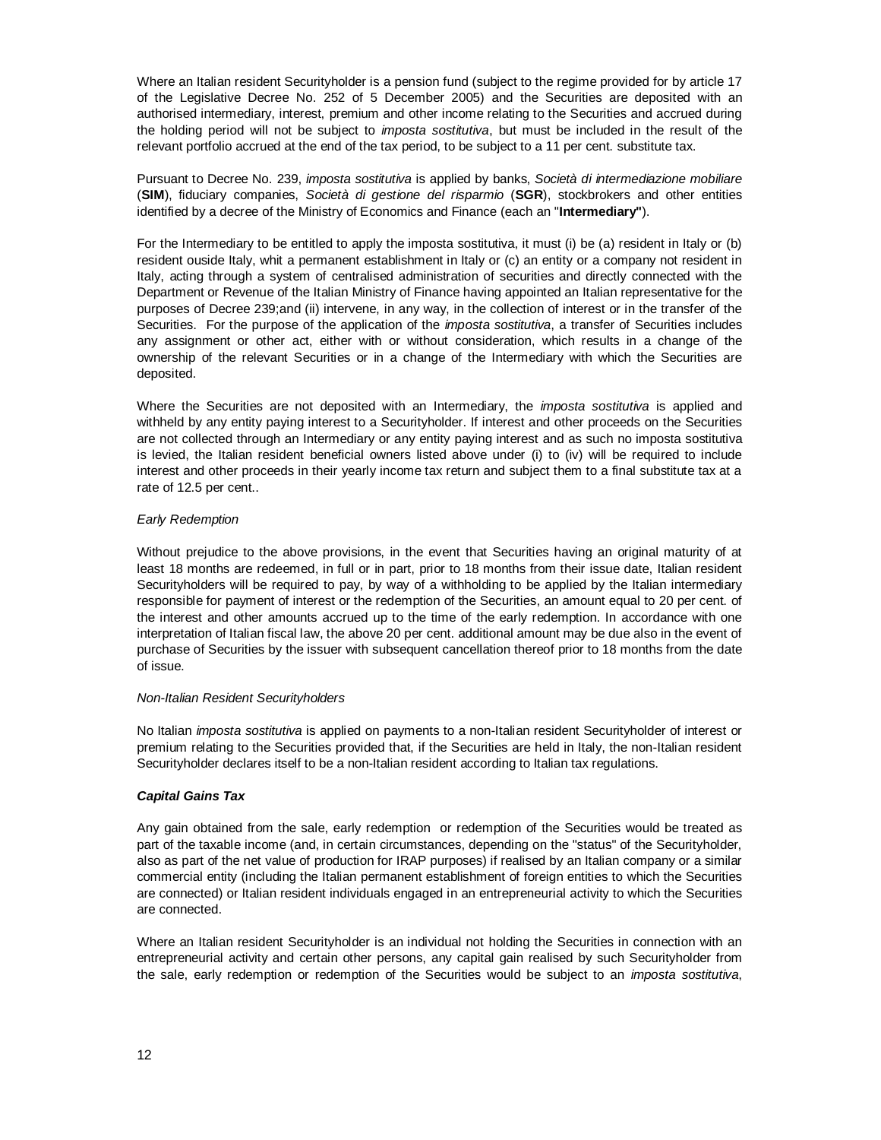Where an Italian resident Securityholder is a pension fund (subject to the regime provided for by article 17 of the Legislative Decree No. 252 of 5 December 2005) and the Securities are deposited with an authorised intermediary, interest, premium and other income relating to the Securities and accrued during the holding period will not be subject to *imposta sostitutiva*, but must be included in the result of the relevant portfolio accrued at the end of the tax period, to be subject to a 11 per cent. substitute tax.

Pursuant to Decree No. 239, *imposta sostitutiva* is applied by banks, *Società di intermediazione mobiliare* (**SIM**), fiduciary companies, *Società di gestione del risparmio* (**SGR**), stockbrokers and other entities identified by a decree of the Ministry of Economics and Finance (each an "**Intermediary"**).

For the Intermediary to be entitled to apply the imposta sostitutiva, it must (i) be (a) resident in Italy or (b) resident ouside Italy, whit a permanent establishment in Italy or (c) an entity or a company not resident in Italy, acting through a system of centralised administration of securities and directly connected with the Department or Revenue of the Italian Ministry of Finance having appointed an Italian representative for the purposes of Decree 239;and (ii) intervene, in any way, in the collection of interest or in the transfer of the Securities. For the purpose of the application of the *imposta sostitutiva*, a transfer of Securities includes any assignment or other act, either with or without consideration, which results in a change of the ownership of the relevant Securities or in a change of the Intermediary with which the Securities are deposited.

Where the Securities are not deposited with an Intermediary, the *imposta sostitutiva* is applied and withheld by any entity paying interest to a Securityholder. If interest and other proceeds on the Securities are not collected through an Intermediary or any entity paying interest and as such no imposta sostitutiva is levied, the Italian resident beneficial owners listed above under (i) to (iv) will be required to include interest and other proceeds in their yearly income tax return and subject them to a final substitute tax at a rate of 12.5 per cent..

#### *Early Redemption*

Without prejudice to the above provisions, in the event that Securities having an original maturity of at least 18 months are redeemed, in full or in part, prior to 18 months from their issue date, Italian resident Securityholders will be required to pay, by way of a withholding to be applied by the Italian intermediary responsible for payment of interest or the redemption of the Securities, an amount equal to 20 per cent. of the interest and other amounts accrued up to the time of the early redemption. In accordance with one interpretation of Italian fiscal law, the above 20 per cent. additional amount may be due also in the event of purchase of Securities by the issuer with subsequent cancellation thereof prior to 18 months from the date of issue.

#### *Non-Italian Resident Securityholders*

No Italian *imposta sostitutiva* is applied on payments to a non-Italian resident Securityholder of interest or premium relating to the Securities provided that, if the Securities are held in Italy, the non-Italian resident Securityholder declares itself to be a non-Italian resident according to Italian tax regulations.

#### *Capital Gains Tax*

Any gain obtained from the sale, early redemption or redemption of the Securities would be treated as part of the taxable income (and, in certain circumstances, depending on the "status" of the Securityholder, also as part of the net value of production for IRAP purposes) if realised by an Italian company or a similar commercial entity (including the Italian permanent establishment of foreign entities to which the Securities are connected) or Italian resident individuals engaged in an entrepreneurial activity to which the Securities are connected.

Where an Italian resident Securityholder is an individual not holding the Securities in connection with an entrepreneurial activity and certain other persons, any capital gain realised by such Securityholder from the sale, early redemption or redemption of the Securities would be subject to an *imposta sostitutiva*,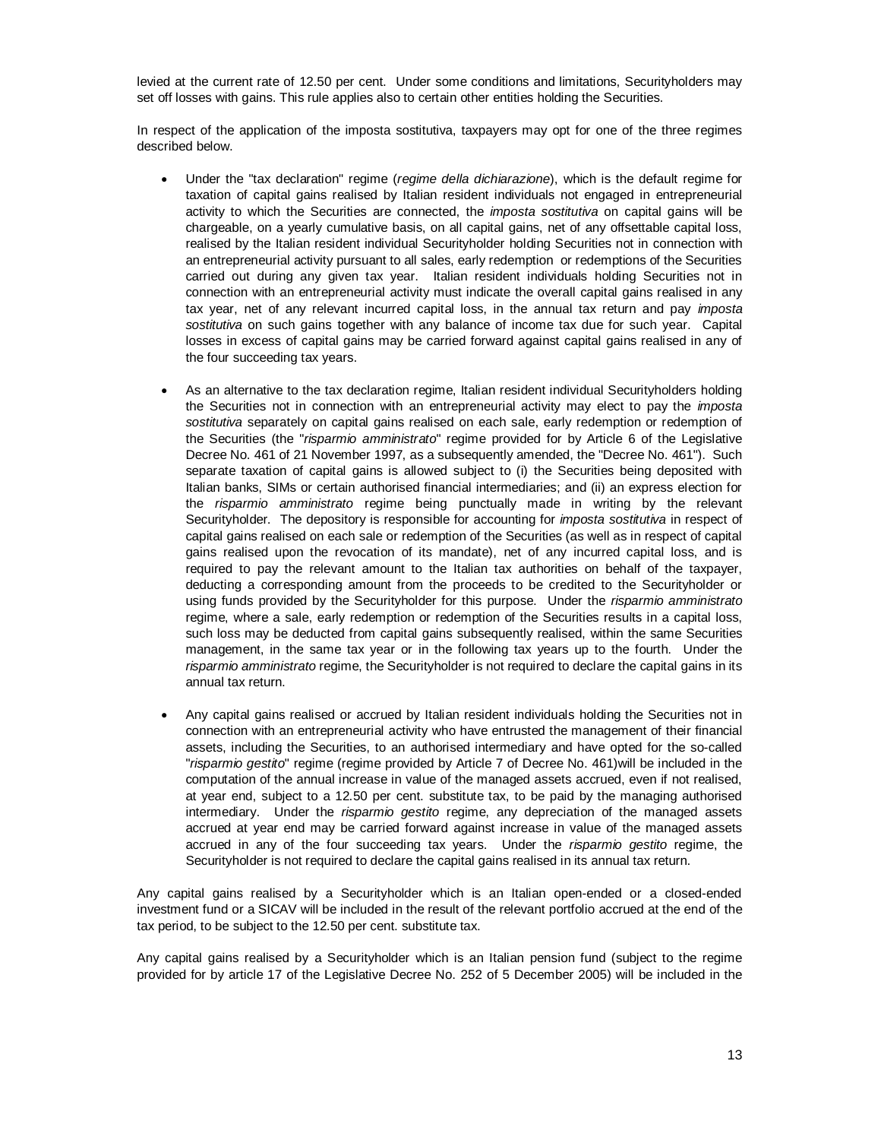levied at the current rate of 12.50 per cent. Under some conditions and limitations, Securityholders may set off losses with gains. This rule applies also to certain other entities holding the Securities.

In respect of the application of the imposta sostitutiva, taxpayers may opt for one of the three regimes described below.

- x Under the "tax declaration" regime (*regime della dichiarazione*), which is the default regime for taxation of capital gains realised by Italian resident individuals not engaged in entrepreneurial activity to which the Securities are connected, the *imposta sostitutiva* on capital gains will be chargeable, on a yearly cumulative basis, on all capital gains, net of any offsettable capital loss, realised by the Italian resident individual Securityholder holding Securities not in connection with an entrepreneurial activity pursuant to all sales, early redemption or redemptions of the Securities carried out during any given tax year. Italian resident individuals holding Securities not in connection with an entrepreneurial activity must indicate the overall capital gains realised in any tax year, net of any relevant incurred capital loss, in the annual tax return and pay *imposta sostitutiva* on such gains together with any balance of income tax due for such year. Capital losses in excess of capital gains may be carried forward against capital gains realised in any of the four succeeding tax years.
- As an alternative to the tax declaration regime, Italian resident individual Securityholders holding the Securities not in connection with an entrepreneurial activity may elect to pay the *imposta sostitutiva* separately on capital gains realised on each sale, early redemption or redemption of the Securities (the "*risparmio amministrato*" regime provided for by Article 6 of the Legislative Decree No. 461 of 21 November 1997, as a subsequently amended, the "Decree No. 461"). Such separate taxation of capital gains is allowed subject to (i) the Securities being deposited with Italian banks, SIMs or certain authorised financial intermediaries; and (ii) an express election for the *risparmio amministrato* regime being punctually made in writing by the relevant Securityholder. The depository is responsible for accounting for *imposta sostitutiva* in respect of capital gains realised on each sale or redemption of the Securities (as well as in respect of capital gains realised upon the revocation of its mandate), net of any incurred capital loss, and is required to pay the relevant amount to the Italian tax authorities on behalf of the taxpayer, deducting a corresponding amount from the proceeds to be credited to the Securityholder or using funds provided by the Securityholder for this purpose. Under the *risparmio amministrato* regime, where a sale, early redemption or redemption of the Securities results in a capital loss, such loss may be deducted from capital gains subsequently realised, within the same Securities management, in the same tax year or in the following tax years up to the fourth. Under the *risparmio amministrato* regime, the Securityholder is not required to declare the capital gains in its annual tax return.
- Any capital gains realised or accrued by Italian resident individuals holding the Securities not in connection with an entrepreneurial activity who have entrusted the management of their financial assets, including the Securities, to an authorised intermediary and have opted for the so-called "*risparmio gestito*" regime (regime provided by Article 7 of Decree No. 461)will be included in the computation of the annual increase in value of the managed assets accrued, even if not realised, at year end, subject to a 12.50 per cent. substitute tax, to be paid by the managing authorised intermediary. Under the *risparmio gestito* regime, any depreciation of the managed assets accrued at year end may be carried forward against increase in value of the managed assets accrued in any of the four succeeding tax years. Under the *risparmio gestito* regime, the Securityholder is not required to declare the capital gains realised in its annual tax return.

Any capital gains realised by a Securityholder which is an Italian open-ended or a closed-ended investment fund or a SICAV will be included in the result of the relevant portfolio accrued at the end of the tax period, to be subject to the 12.50 per cent. substitute tax.

Any capital gains realised by a Securityholder which is an Italian pension fund (subject to the regime provided for by article 17 of the Legislative Decree No. 252 of 5 December 2005) will be included in the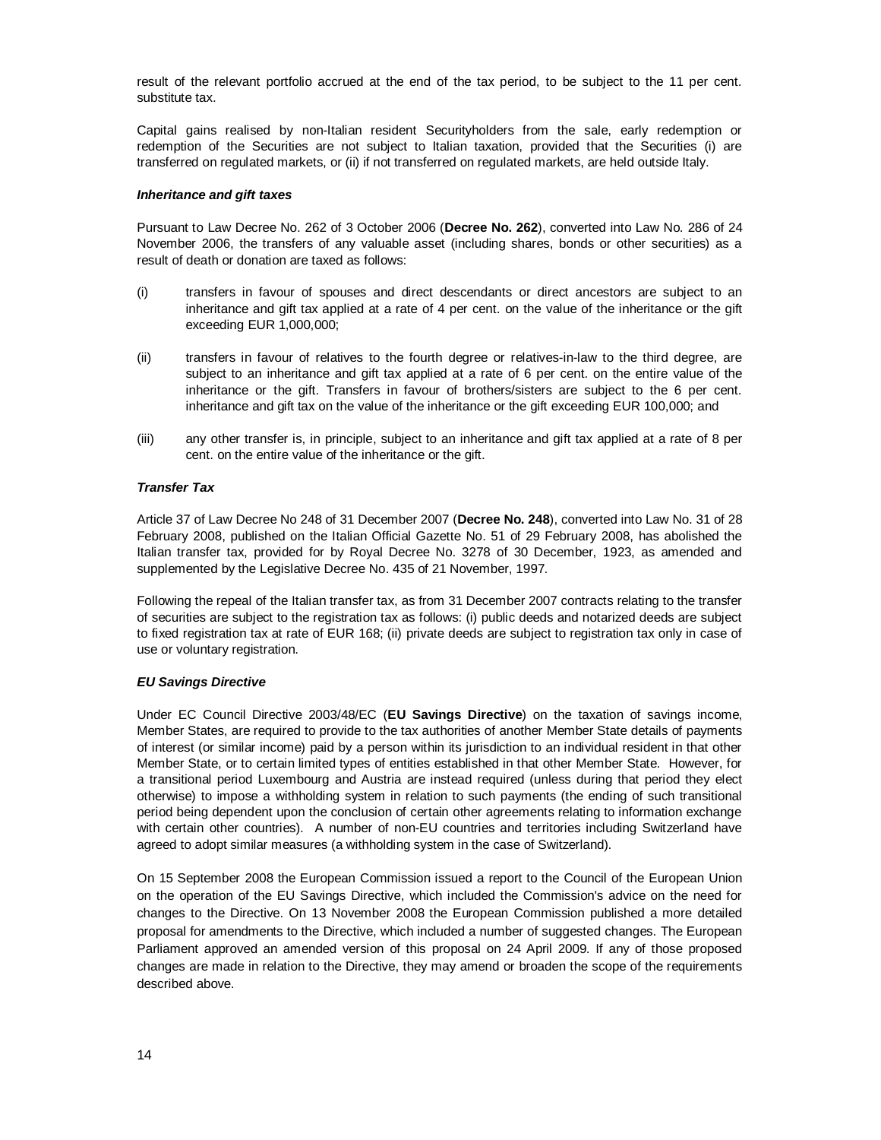result of the relevant portfolio accrued at the end of the tax period, to be subject to the 11 per cent. substitute tax.

Capital gains realised by non-Italian resident Securityholders from the sale, early redemption or redemption of the Securities are not subject to Italian taxation, provided that the Securities (i) are transferred on regulated markets, or (ii) if not transferred on regulated markets, are held outside Italy.

#### *Inheritance and gift taxes*

Pursuant to Law Decree No. 262 of 3 October 2006 (**Decree No. 262**), converted into Law No. 286 of 24 November 2006, the transfers of any valuable asset (including shares, bonds or other securities) as a result of death or donation are taxed as follows:

- (i) transfers in favour of spouses and direct descendants or direct ancestors are subject to an inheritance and gift tax applied at a rate of 4 per cent. on the value of the inheritance or the gift exceeding EUR 1,000,000;
- (ii) transfers in favour of relatives to the fourth degree or relatives-in-law to the third degree, are subject to an inheritance and gift tax applied at a rate of 6 per cent. on the entire value of the inheritance or the gift. Transfers in favour of brothers/sisters are subject to the 6 per cent. inheritance and gift tax on the value of the inheritance or the gift exceeding EUR 100,000; and
- (iii) any other transfer is, in principle, subject to an inheritance and gift tax applied at a rate of 8 per cent. on the entire value of the inheritance or the gift.

#### *Transfer Tax*

Article 37 of Law Decree No 248 of 31 December 2007 (**Decree No. 248**), converted into Law No. 31 of 28 February 2008, published on the Italian Official Gazette No. 51 of 29 February 2008, has abolished the Italian transfer tax, provided for by Royal Decree No. 3278 of 30 December, 1923, as amended and supplemented by the Legislative Decree No. 435 of 21 November, 1997.

Following the repeal of the Italian transfer tax, as from 31 December 2007 contracts relating to the transfer of securities are subject to the registration tax as follows: (i) public deeds and notarized deeds are subject to fixed registration tax at rate of EUR 168; (ii) private deeds are subject to registration tax only in case of use or voluntary registration.

#### *EU Savings Directive*

Under EC Council Directive 2003/48/EC (**EU Savings Directive**) on the taxation of savings income, Member States, are required to provide to the tax authorities of another Member State details of payments of interest (or similar income) paid by a person within its jurisdiction to an individual resident in that other Member State, or to certain limited types of entities established in that other Member State. However, for a transitional period Luxembourg and Austria are instead required (unless during that period they elect otherwise) to impose a withholding system in relation to such payments (the ending of such transitional period being dependent upon the conclusion of certain other agreements relating to information exchange with certain other countries). A number of non-EU countries and territories including Switzerland have agreed to adopt similar measures (a withholding system in the case of Switzerland).

On 15 September 2008 the European Commission issued a report to the Council of the European Union on the operation of the EU Savings Directive, which included the Commission's advice on the need for changes to the Directive. On 13 November 2008 the European Commission published a more detailed proposal for amendments to the Directive, which included a number of suggested changes. The European Parliament approved an amended version of this proposal on 24 April 2009. If any of those proposed changes are made in relation to the Directive, they may amend or broaden the scope of the requirements described above.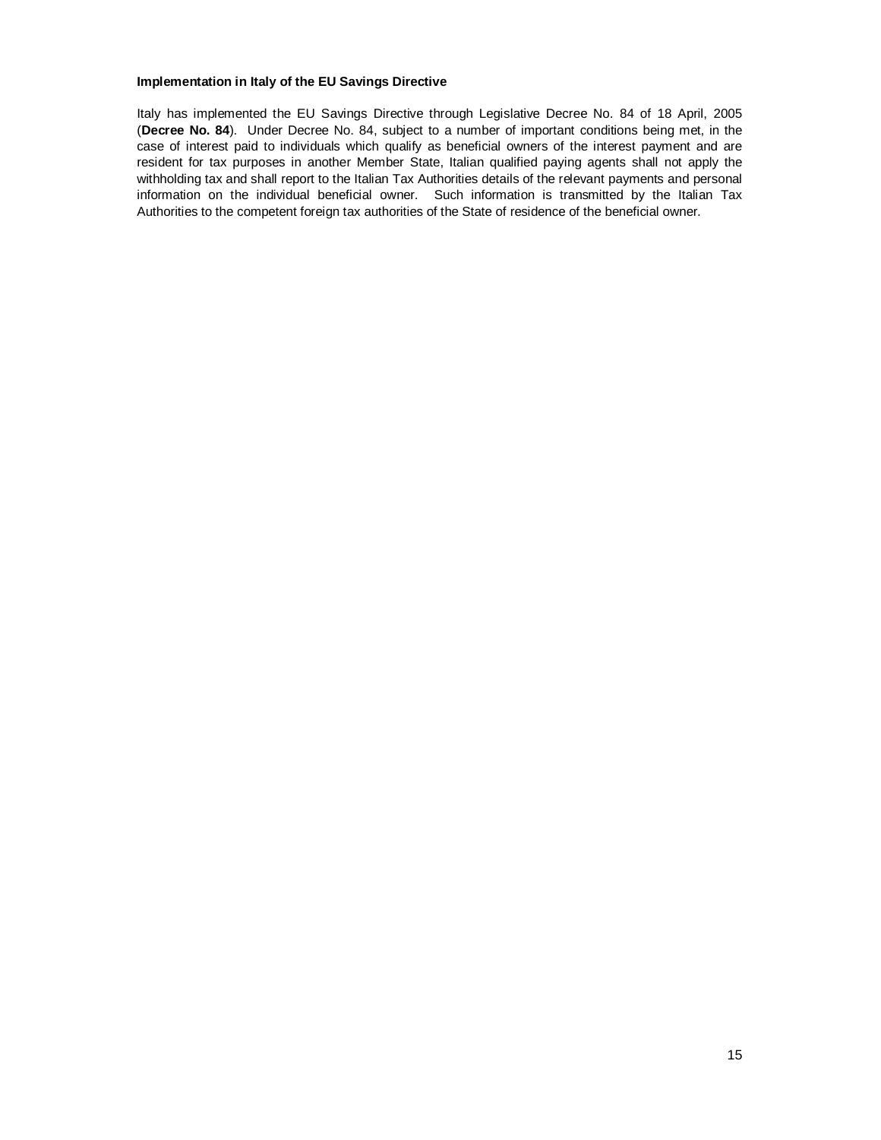#### **Implementation in Italy of the EU Savings Directive**

Italy has implemented the EU Savings Directive through Legislative Decree No. 84 of 18 April, 2005 (**Decree No. 84**). Under Decree No. 84, subject to a number of important conditions being met, in the case of interest paid to individuals which qualify as beneficial owners of the interest payment and are resident for tax purposes in another Member State, Italian qualified paying agents shall not apply the withholding tax and shall report to the Italian Tax Authorities details of the relevant payments and personal information on the individual beneficial owner. Such information is transmitted by the Italian Tax Authorities to the competent foreign tax authorities of the State of residence of the beneficial owner.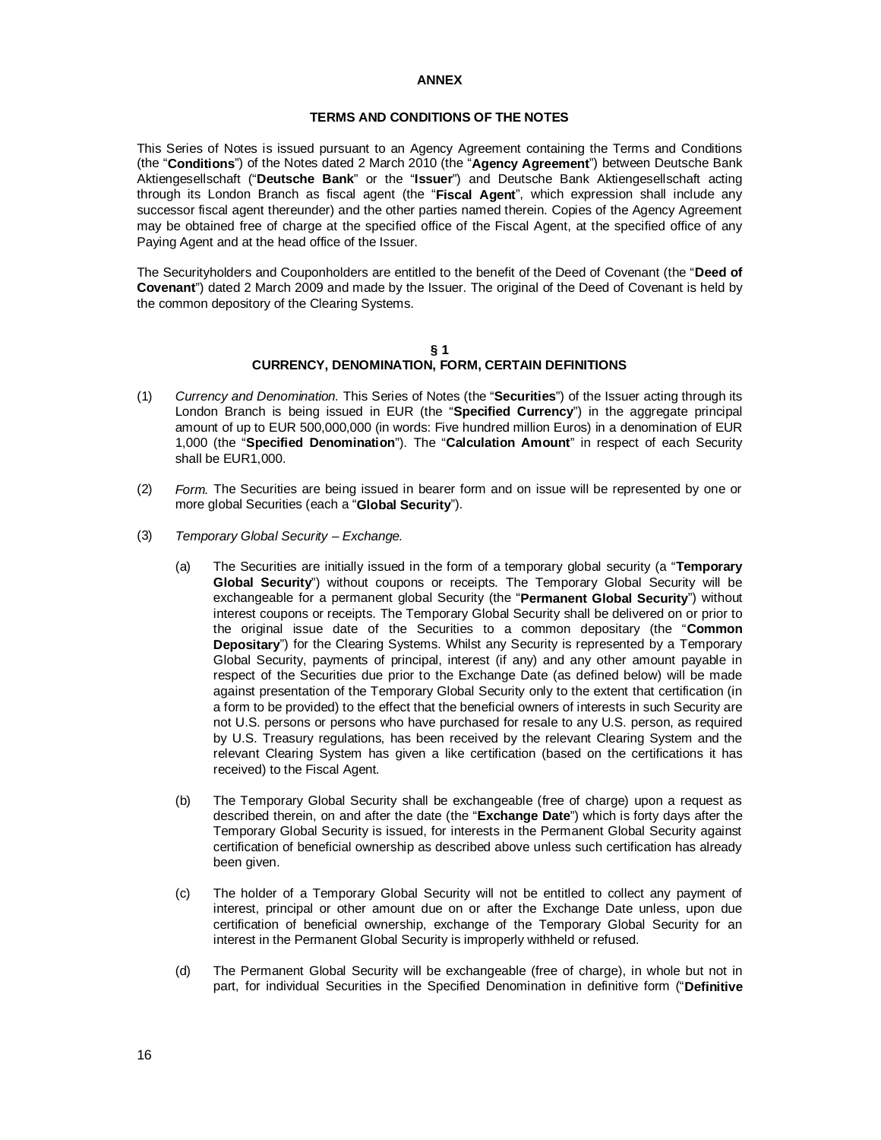#### **ANNEX**

#### **TERMS AND CONDITIONS OF THE NOTES**

This Series of Notes is issued pursuant to an Agency Agreement containing the Terms and Conditions (the "**Conditions**") of the Notes dated 2 March 2010 (the "**Agency Agreement**") between Deutsche Bank Aktiengesellschaft ("**Deutsche Bank**" or the "**Issuer**") and Deutsche Bank Aktiengesellschaft acting through its London Branch as fiscal agent (the "**Fiscal Agent**", which expression shall include any successor fiscal agent thereunder) and the other parties named therein. Copies of the Agency Agreement may be obtained free of charge at the specified office of the Fiscal Agent, at the specified office of any Paying Agent and at the head office of the Issuer.

The Securityholders and Couponholders are entitled to the benefit of the Deed of Covenant (the "**Deed of Covenant**") dated 2 March 2009 and made by the Issuer. The original of the Deed of Covenant is held by the common depository of the Clearing Systems.

#### **§ 1 CURRENCY, DENOMINATION, FORM, CERTAIN DEFINITIONS**

- (1) *Currency and Denomination.* This Series of Notes (the "**Securities**") of the Issuer acting through its London Branch is being issued in EUR (the "**Specified Currency**") in the aggregate principal amount of up to EUR 500,000,000 (in words: Five hundred million Euros) in a denomination of EUR 1,000 (the "**Specified Denomination**"). The "**Calculation Amount**" in respect of each Security shall be EUR1,000.
- (2) *Form.* The Securities are being issued in bearer form and on issue will be represented by one or more global Securities (each a "**Global Security**").
- (3) *Temporary Global Security Exchange.*
	- (a) The Securities are initially issued in the form of a temporary global security (a "**Temporary Global Security**") without coupons or receipts. The Temporary Global Security will be exchangeable for a permanent global Security (the "**Permanent Global Security**") without interest coupons or receipts. The Temporary Global Security shall be delivered on or prior to the original issue date of the Securities to a common depositary (the "**Common Depositary**") for the Clearing Systems. Whilst any Security is represented by a Temporary Global Security, payments of principal, interest (if any) and any other amount payable in respect of the Securities due prior to the Exchange Date (as defined below) will be made against presentation of the Temporary Global Security only to the extent that certification (in a form to be provided) to the effect that the beneficial owners of interests in such Security are not U.S. persons or persons who have purchased for resale to any U.S. person, as required by U.S. Treasury regulations, has been received by the relevant Clearing System and the relevant Clearing System has given a like certification (based on the certifications it has received) to the Fiscal Agent.
	- (b) The Temporary Global Security shall be exchangeable (free of charge) upon a request as described therein, on and after the date (the "**Exchange Date**") which is forty days after the Temporary Global Security is issued, for interests in the Permanent Global Security against certification of beneficial ownership as described above unless such certification has already been given.
	- (c) The holder of a Temporary Global Security will not be entitled to collect any payment of interest, principal or other amount due on or after the Exchange Date unless, upon due certification of beneficial ownership, exchange of the Temporary Global Security for an interest in the Permanent Global Security is improperly withheld or refused.
	- (d) The Permanent Global Security will be exchangeable (free of charge), in whole but not in part, for individual Securities in the Specified Denomination in definitive form ("**Definitive**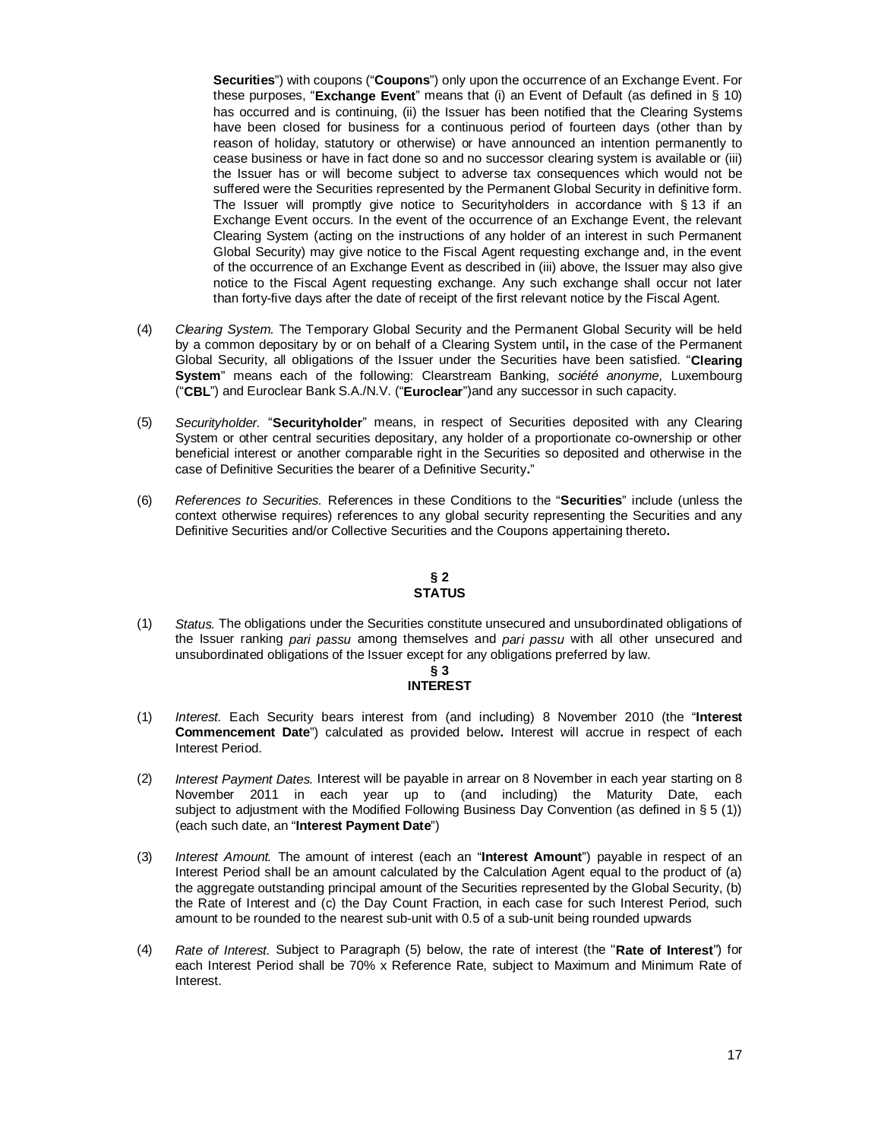**Securities**") with coupons ("**Coupons**") only upon the occurrence of an Exchange Event. For these purposes, "**Exchange Event**" means that (i) an Event of Default (as defined in § 10) has occurred and is continuing, (ii) the Issuer has been notified that the Clearing Systems have been closed for business for a continuous period of fourteen days (other than by reason of holiday, statutory or otherwise) or have announced an intention permanently to cease business or have in fact done so and no successor clearing system is available or (iii) the Issuer has or will become subject to adverse tax consequences which would not be suffered were the Securities represented by the Permanent Global Security in definitive form. The Issuer will promptly give notice to Securityholders in accordance with § 13 if an Exchange Event occurs. In the event of the occurrence of an Exchange Event, the relevant Clearing System (acting on the instructions of any holder of an interest in such Permanent Global Security) may give notice to the Fiscal Agent requesting exchange and, in the event of the occurrence of an Exchange Event as described in (iii) above, the Issuer may also give notice to the Fiscal Agent requesting exchange. Any such exchange shall occur not later than forty-five days after the date of receipt of the first relevant notice by the Fiscal Agent.

- (4) *Clearing System.* The Temporary Global Security and the Permanent Global Security will be held by a common depositary by or on behalf of a Clearing System until**,** in the case of the Permanent Global Security, all obligations of the Issuer under the Securities have been satisfied. "**Clearing System**" means each of the following: Clearstream Banking, *société anonyme,* Luxembourg ("**CBL**") and Euroclear Bank S.A./N.V. ("**Euroclear**")and any successor in such capacity.
- (5) *Securityholder.* "**Securityholder**" means, in respect of Securities deposited with any Clearing System or other central securities depositary, any holder of a proportionate co-ownership or other beneficial interest or another comparable right in the Securities so deposited and otherwise in the case of Definitive Securities the bearer of a Definitive Security**.**"
- (6) *References to Securities.* References in these Conditions to the "**Securities**" include (unless the context otherwise requires) references to any global security representing the Securities and any Definitive Securities and/or Collective Securities and the Coupons appertaining thereto**.**

# **§ 2 STATUS**

(1) *Status.* The obligations under the Securities constitute unsecured and unsubordinated obligations of the Issuer ranking *pari passu* among themselves and *pari passu* with all other unsecured and unsubordinated obligations of the Issuer except for any obligations preferred by law.

#### **§ 3 INTEREST**

- (1) *Interest.* Each Security bears interest from (and including) 8 November 2010 (the "**Interest Commencement Date**") calculated as provided below**.** Interest will accrue in respect of each Interest Period.
- (2) *Interest Payment Dates.* Interest will be payable in arrear on 8 November in each year starting on 8 November 2011 in each year up to (and including) the Maturity Date, each subject to adjustment with the Modified Following Business Day Convention (as defined in § 5 (1)) (each such date, an "**Interest Payment Date**")
- (3) *Interest Amount.* The amount of interest (each an "**Interest Amount**") payable in respect of an Interest Period shall be an amount calculated by the Calculation Agent equal to the product of (a) the aggregate outstanding principal amount of the Securities represented by the Global Security, (b) the Rate of Interest and (c) the Day Count Fraction, in each case for such Interest Period, such amount to be rounded to the nearest sub-unit with 0.5 of a sub-unit being rounded upwards
- (4) *Rate of Interest.* Subject to Paragraph (5) below, the rate of interest (the "**Rate of Interest**") for each Interest Period shall be 70% x Reference Rate, subject to Maximum and Minimum Rate of Interest.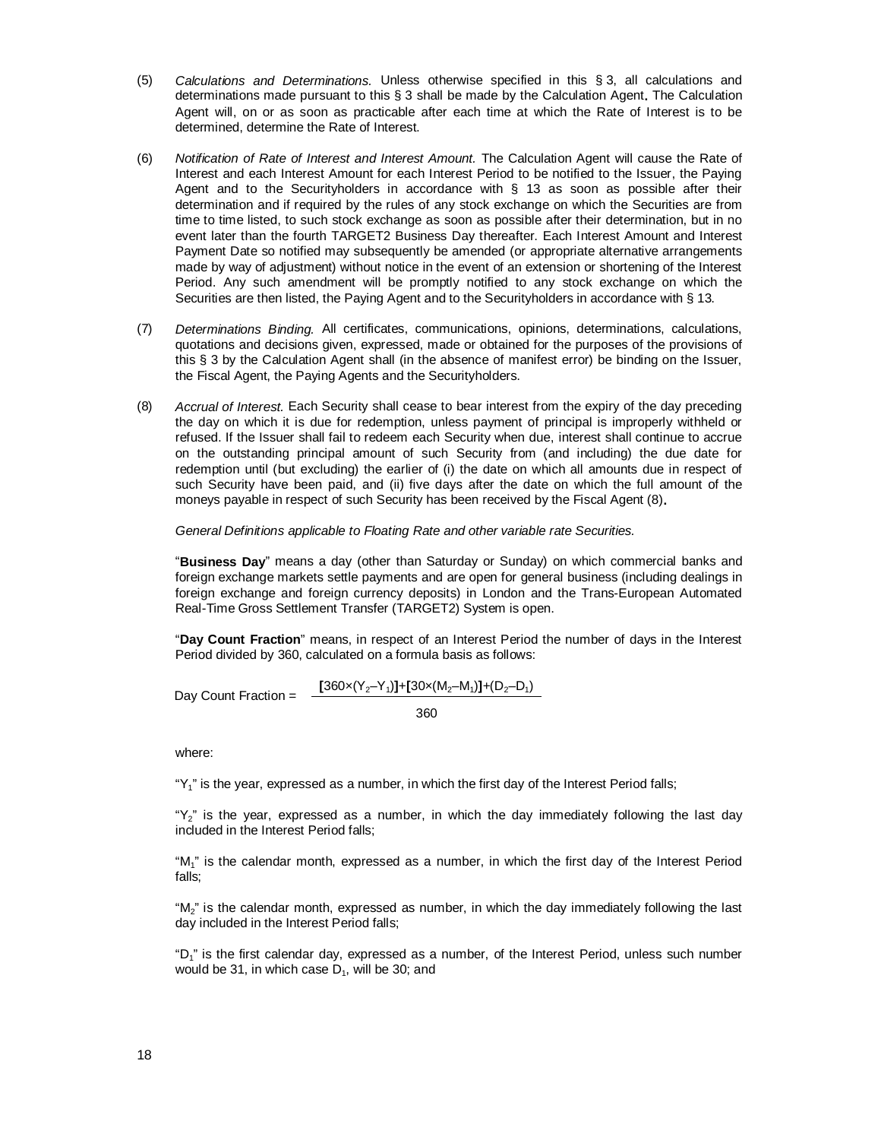- (5) *Calculations and Determinations.* Unless otherwise specified in this § 3, all calculations and determinations made pursuant to this § 3 shall be made by the Calculation Agent**.** The Calculation Agent will, on or as soon as practicable after each time at which the Rate of Interest is to be determined, determine the Rate of Interest.
- (6) *Notification of Rate of Interest and Interest Amount.* The Calculation Agent will cause the Rate of Interest and each Interest Amount for each Interest Period to be notified to the Issuer, the Paying Agent and to the Securityholders in accordance with § 13 as soon as possible after their determination and if required by the rules of any stock exchange on which the Securities are from time to time listed, to such stock exchange as soon as possible after their determination, but in no event later than the fourth TARGET2 Business Day thereafter. Each Interest Amount and Interest Payment Date so notified may subsequently be amended (or appropriate alternative arrangements made by way of adjustment) without notice in the event of an extension or shortening of the Interest Period. Any such amendment will be promptly notified to any stock exchange on which the Securities are then listed, the Paying Agent and to the Securityholders in accordance with § 13.
- (7) *Determinations Binding.* All certificates, communications, opinions, determinations, calculations, quotations and decisions given, expressed, made or obtained for the purposes of the provisions of this § 3 by the Calculation Agent shall (in the absence of manifest error) be binding on the Issuer, the Fiscal Agent, the Paying Agents and the Securityholders.
- (8) *Accrual of Interest.* Each Security shall cease to bear interest from the expiry of the day preceding the day on which it is due for redemption, unless payment of principal is improperly withheld or refused. If the Issuer shall fail to redeem each Security when due, interest shall continue to accrue on the outstanding principal amount of such Security from (and including) the due date for redemption until (but excluding) the earlier of (i) the date on which all amounts due in respect of such Security have been paid, and (ii) five days after the date on which the full amount of the moneys payable in respect of such Security has been received by the Fiscal Agent (8)**.**

*General Definitions applicable to Floating Rate and other variable rate Securities.*

"**Business Day**" means a day (other than Saturday or Sunday) on which commercial banks and foreign exchange markets settle payments and are open for general business (including dealings in foreign exchange and foreign currency deposits) in London and the Trans-European Automated Real-Time Gross Settlement Transfer (TARGET2) System is open.

"**Day Count Fraction**" means, in respect of an Interest Period the number of days in the Interest Period divided by 360, calculated on a formula basis as follows:

Day Count Fraction =  $\frac{[360 \times (Y_2 - Y_1)] + [30 \times (M_2 - M_1)] + (D_2 - D_1)}{}{}$ 360

where:

"Y<sub>1</sub>" is the year, expressed as a number, in which the first day of the Interest Period falls;

" $Y_2$ " is the year, expressed as a number, in which the day immediately following the last day included in the Interest Period falls;

"M<sub>1</sub>" is the calendar month, expressed as a number, in which the first day of the Interest Period falls;

"M $_2$ " is the calendar month, expressed as number, in which the day immediately following the last day included in the Interest Period falls;

"D<sub>1</sub>" is the first calendar day, expressed as a number, of the Interest Period, unless such number would be 31, in which case  $D_1$ , will be 30; and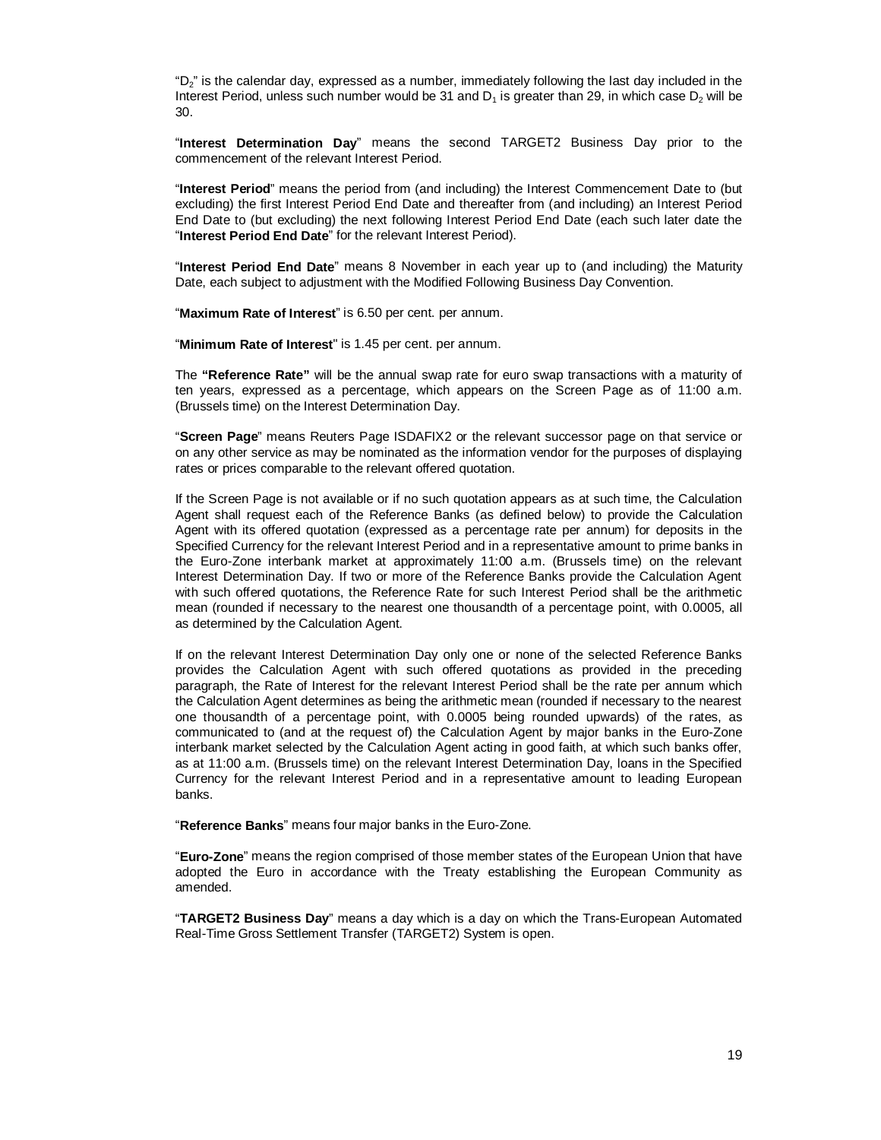"D $_2$ " is the calendar day, expressed as a number, immediately following the last day included in the Interest Period, unless such number would be 31 and  $\mathsf{D}_1$  is greater than 29, in which case  $\mathsf{D}_2$  will be 30.

"**Interest Determination Day**" means the second TARGET2 Business Day prior to the commencement of the relevant Interest Period.

"**Interest Period**" means the period from (and including) the Interest Commencement Date to (but excluding) the first Interest Period End Date and thereafter from (and including) an Interest Period End Date to (but excluding) the next following Interest Period End Date (each such later date the "**Interest Period End Date**" for the relevant Interest Period).

"**Interest Period End Date**" means 8 November in each year up to (and including) the Maturity Date, each subject to adjustment with the Modified Following Business Day Convention.

"**Maximum Rate of Interest**" is 6.50 per cent. per annum.

"**Minimum Rate of Interest**" is 1.45 per cent. per annum.

The **"Reference Rate"** will be the annual swap rate for euro swap transactions with a maturity of ten years, expressed as a percentage, which appears on the Screen Page as of 11:00 a.m. (Brussels time) on the Interest Determination Day.

"**Screen Page**" means Reuters Page ISDAFIX2 or the relevant successor page on that service or on any other service as may be nominated as the information vendor for the purposes of displaying rates or prices comparable to the relevant offered quotation.

If the Screen Page is not available or if no such quotation appears as at such time, the Calculation Agent shall request each of the Reference Banks (as defined below) to provide the Calculation Agent with its offered quotation (expressed as a percentage rate per annum) for deposits in the Specified Currency for the relevant Interest Period and in a representative amount to prime banks in the Euro-Zone interbank market at approximately 11:00 a.m. (Brussels time) on the relevant Interest Determination Day. If two or more of the Reference Banks provide the Calculation Agent with such offered quotations, the Reference Rate for such Interest Period shall be the arithmetic mean (rounded if necessary to the nearest one thousandth of a percentage point, with 0.0005, all as determined by the Calculation Agent.

If on the relevant Interest Determination Day only one or none of the selected Reference Banks provides the Calculation Agent with such offered quotations as provided in the preceding paragraph, the Rate of Interest for the relevant Interest Period shall be the rate per annum which the Calculation Agent determines as being the arithmetic mean (rounded if necessary to the nearest one thousandth of a percentage point, with 0.0005 being rounded upwards) of the rates, as communicated to (and at the request of) the Calculation Agent by major banks in the Euro-Zone interbank market selected by the Calculation Agent acting in good faith, at which such banks offer, as at 11:00 a.m. (Brussels time) on the relevant Interest Determination Day, loans in the Specified Currency for the relevant Interest Period and in a representative amount to leading European banks.

"**Reference Banks**" means four major banks in the Euro-Zone.

"**Euro-Zone**" means the region comprised of those member states of the European Union that have adopted the Euro in accordance with the Treaty establishing the European Community as amended.

"**TARGET2 Business Day**" means a day which is a day on which the Trans-European Automated Real-Time Gross Settlement Transfer (TARGET2) System is open.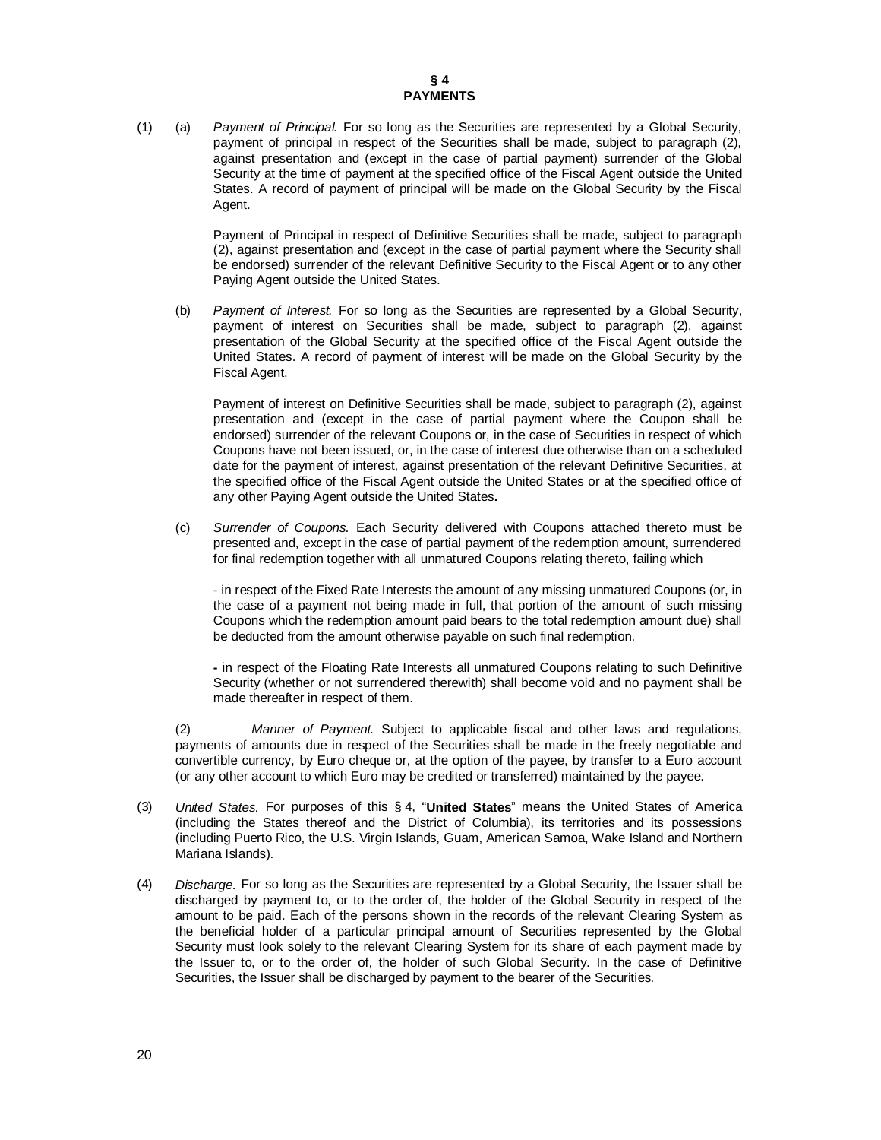(1) (a) *Payment of Principal.* For so long as the Securities are represented by a Global Security, payment of principal in respect of the Securities shall be made, subject to paragraph (2), against presentation and (except in the case of partial payment) surrender of the Global Security at the time of payment at the specified office of the Fiscal Agent outside the United States. A record of payment of principal will be made on the Global Security by the Fiscal Agent.

> Payment of Principal in respect of Definitive Securities shall be made, subject to paragraph (2), against presentation and (except in the case of partial payment where the Security shall be endorsed) surrender of the relevant Definitive Security to the Fiscal Agent or to any other Paying Agent outside the United States.

(b) *Payment of Interest.* For so long as the Securities are represented by a Global Security, payment of interest on Securities shall be made, subject to paragraph (2), against presentation of the Global Security at the specified office of the Fiscal Agent outside the United States. A record of payment of interest will be made on the Global Security by the Fiscal Agent.

Payment of interest on Definitive Securities shall be made, subject to paragraph (2), against presentation and (except in the case of partial payment where the Coupon shall be endorsed) surrender of the relevant Coupons or, in the case of Securities in respect of which Coupons have not been issued, or, in the case of interest due otherwise than on a scheduled date for the payment of interest, against presentation of the relevant Definitive Securities, at the specified office of the Fiscal Agent outside the United States or at the specified office of any other Paying Agent outside the United States**.**

(c) *Surrender of Coupons.* Each Security delivered with Coupons attached thereto must be presented and, except in the case of partial payment of the redemption amount, surrendered for final redemption together with all unmatured Coupons relating thereto, failing which

- in respect of the Fixed Rate Interests the amount of any missing unmatured Coupons (or, in the case of a payment not being made in full, that portion of the amount of such missing Coupons which the redemption amount paid bears to the total redemption amount due) shall be deducted from the amount otherwise payable on such final redemption.

**-** in respect of the Floating Rate Interests all unmatured Coupons relating to such Definitive Security (whether or not surrendered therewith) shall become void and no payment shall be made thereafter in respect of them.

(2) *Manner of Payment.* Subject to applicable fiscal and other laws and regulations, payments of amounts due in respect of the Securities shall be made in the freely negotiable and convertible currency, by Euro cheque or, at the option of the payee, by transfer to a Euro account (or any other account to which Euro may be credited or transferred) maintained by the payee.

- (3) *United States.* For purposes of this § 4, "**United States**" means the United States of America (including the States thereof and the District of Columbia), its territories and its possessions (including Puerto Rico, the U.S. Virgin Islands, Guam, American Samoa, Wake Island and Northern Mariana Islands).
- (4) *Discharge.* For so long as the Securities are represented by a Global Security, the Issuer shall be discharged by payment to, or to the order of, the holder of the Global Security in respect of the amount to be paid. Each of the persons shown in the records of the relevant Clearing System as the beneficial holder of a particular principal amount of Securities represented by the Global Security must look solely to the relevant Clearing System for its share of each payment made by the Issuer to, or to the order of, the holder of such Global Security. In the case of Definitive Securities, the Issuer shall be discharged by payment to the bearer of the Securities.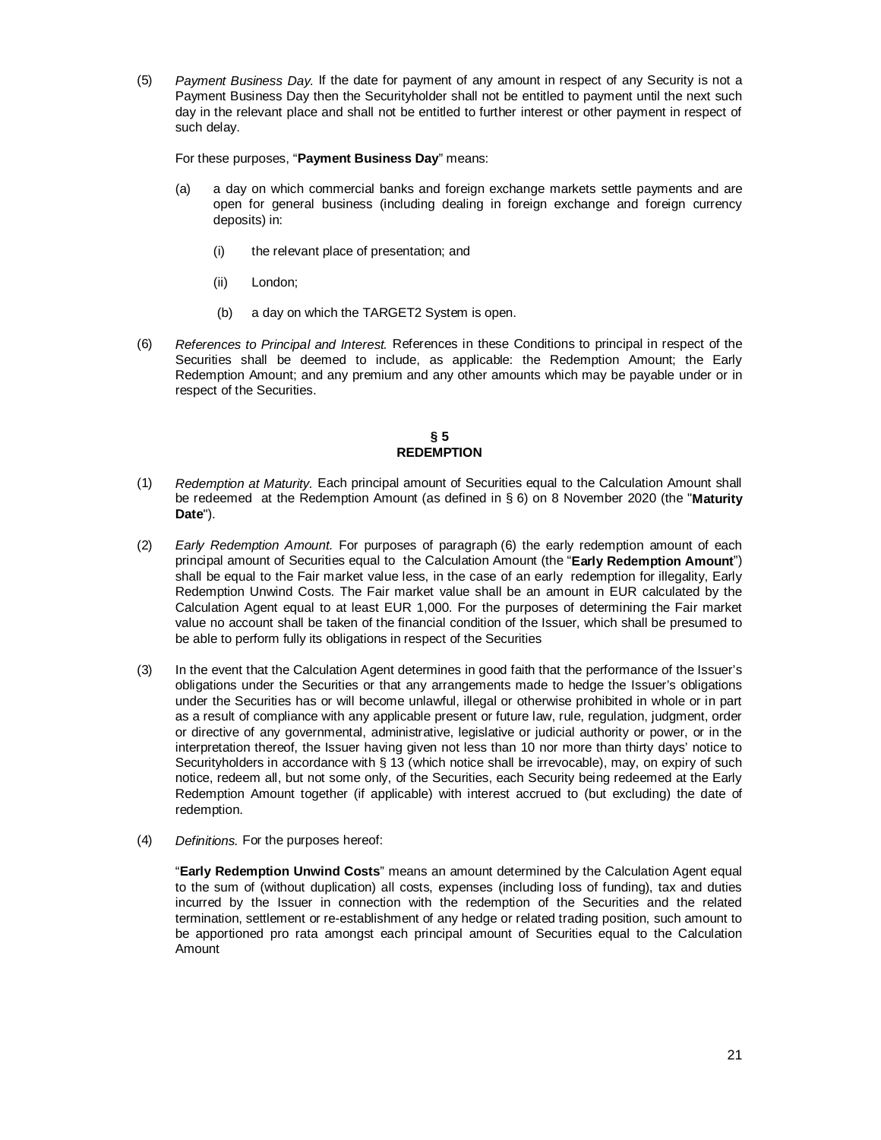(5) *Payment Business Day.* If the date for payment of any amount in respect of any Security is not a Payment Business Day then the Securityholder shall not be entitled to payment until the next such day in the relevant place and shall not be entitled to further interest or other payment in respect of such delay.

For these purposes, "**Payment Business Day**" means:

- (a) a day on which commercial banks and foreign exchange markets settle payments and are open for general business (including dealing in foreign exchange and foreign currency deposits) in:
	- (i) the relevant place of presentation; and
	- (ii) London;
	- (b) a day on which the TARGET2 System is open.
- (6) *References to Principal and Interest.* References in these Conditions to principal in respect of the Securities shall be deemed to include, as applicable: the Redemption Amount; the Early Redemption Amount; and any premium and any other amounts which may be payable under or in respect of the Securities.

#### **§ 5 REDEMPTION**

- (1) *Redemption at Maturity.* Each principal amount of Securities equal to the Calculation Amount shall be redeemed at the Redemption Amount (as defined in § 6) on 8 November 2020 (the "**Maturity Date**").
- (2) *Early Redemption Amount.* For purposes of paragraph (6) the early redemption amount of each principal amount of Securities equal to the Calculation Amount (the "**Early Redemption Amount**") shall be equal to the Fair market value less, in the case of an early redemption for illegality, Early Redemption Unwind Costs. The Fair market value shall be an amount in EUR calculated by the Calculation Agent equal to at least EUR 1,000. For the purposes of determining the Fair market value no account shall be taken of the financial condition of the Issuer, which shall be presumed to be able to perform fully its obligations in respect of the Securities
- (3) In the event that the Calculation Agent determines in good faith that the performance of the Issuer's obligations under the Securities or that any arrangements made to hedge the Issuer's obligations under the Securities has or will become unlawful, illegal or otherwise prohibited in whole or in part as a result of compliance with any applicable present or future law, rule, regulation, judgment, order or directive of any governmental, administrative, legislative or judicial authority or power, or in the interpretation thereof, the Issuer having given not less than 10 nor more than thirty days' notice to Securityholders in accordance with § 13 (which notice shall be irrevocable), may, on expiry of such notice, redeem all, but not some only, of the Securities, each Security being redeemed at the Early Redemption Amount together (if applicable) with interest accrued to (but excluding) the date of redemption.
- (4) *Definitions.* For the purposes hereof:

"**Early Redemption Unwind Costs**" means an amount determined by the Calculation Agent equal to the sum of (without duplication) all costs, expenses (including loss of funding), tax and duties incurred by the Issuer in connection with the redemption of the Securities and the related termination, settlement or re-establishment of any hedge or related trading position, such amount to be apportioned pro rata amongst each principal amount of Securities equal to the Calculation Amount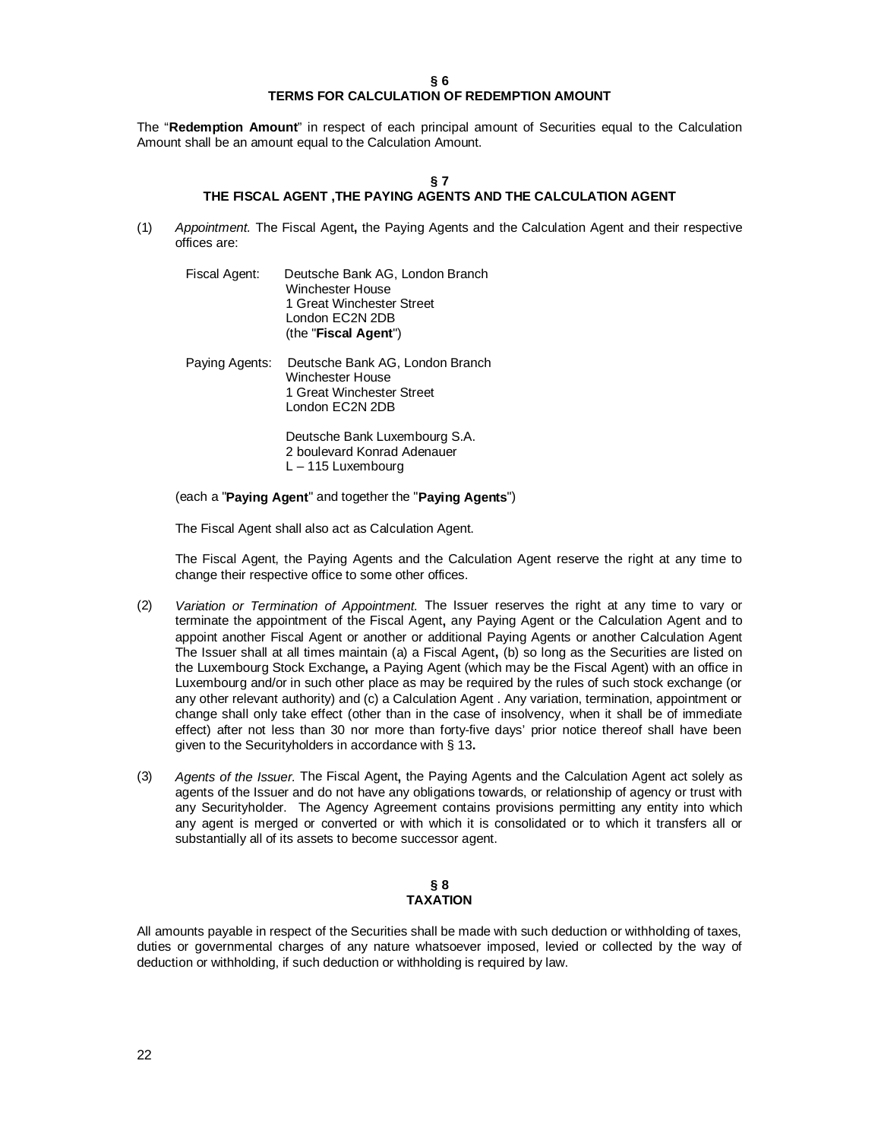#### **§ 6 TERMS FOR CALCULATION OF REDEMPTION AMOUNT**

The "**Redemption Amount**" in respect of each principal amount of Securities equal to the Calculation Amount shall be an amount equal to the Calculation Amount.

#### **§ 7 THE FISCAL AGENT ,THE PAYING AGENTS AND THE CALCULATION AGENT**

- (1) *Appointment.* The Fiscal Agent**,** the Paying Agents and the Calculation Agent and their respective offices are:
	- Fiscal Agent: Deutsche Bank AG, London Branch Winchester House 1 Great Winchester Street London EC2N 2DB (the "**Fiscal Agent**")
	- Paying Agents: Deutsche Bank AG, London Branch Winchester House 1 Great Winchester Street London EC2N 2DB

Deutsche Bank Luxembourg S.A. 2 boulevard Konrad Adenauer L – 115 Luxembourg

(each a "**Paying Agent**" and together the "**Paying Agents**")

The Fiscal Agent shall also act as Calculation Agent.

The Fiscal Agent, the Paying Agents and the Calculation Agent reserve the right at any time to change their respective office to some other offices.

- (2) *Variation or Termination of Appointment.* The Issuer reserves the right at any time to vary or terminate the appointment of the Fiscal Agent**,** any Paying Agent or the Calculation Agent and to appoint another Fiscal Agent or another or additional Paying Agents or another Calculation Agent The Issuer shall at all times maintain (a) a Fiscal Agent**,** (b) so long as the Securities are listed on the Luxembourg Stock Exchange**,** a Paying Agent (which may be the Fiscal Agent) with an office in Luxembourg and/or in such other place as may be required by the rules of such stock exchange (or any other relevant authority) and (c) a Calculation Agent . Any variation, termination, appointment or change shall only take effect (other than in the case of insolvency, when it shall be of immediate effect) after not less than 30 nor more than forty-five days' prior notice thereof shall have been given to the Securityholders in accordance with § 13**.**
- (3) *Agents of the Issuer.* The Fiscal Agent**,** the Paying Agents and the Calculation Agent act solely as agents of the Issuer and do not have any obligations towards, or relationship of agency or trust with any Securityholder. The Agency Agreement contains provisions permitting any entity into which any agent is merged or converted or with which it is consolidated or to which it transfers all or substantially all of its assets to become successor agent.

#### **§ 8 TAXATION**

All amounts payable in respect of the Securities shall be made with such deduction or withholding of taxes, duties or governmental charges of any nature whatsoever imposed, levied or collected by the way of deduction or withholding, if such deduction or withholding is required by law.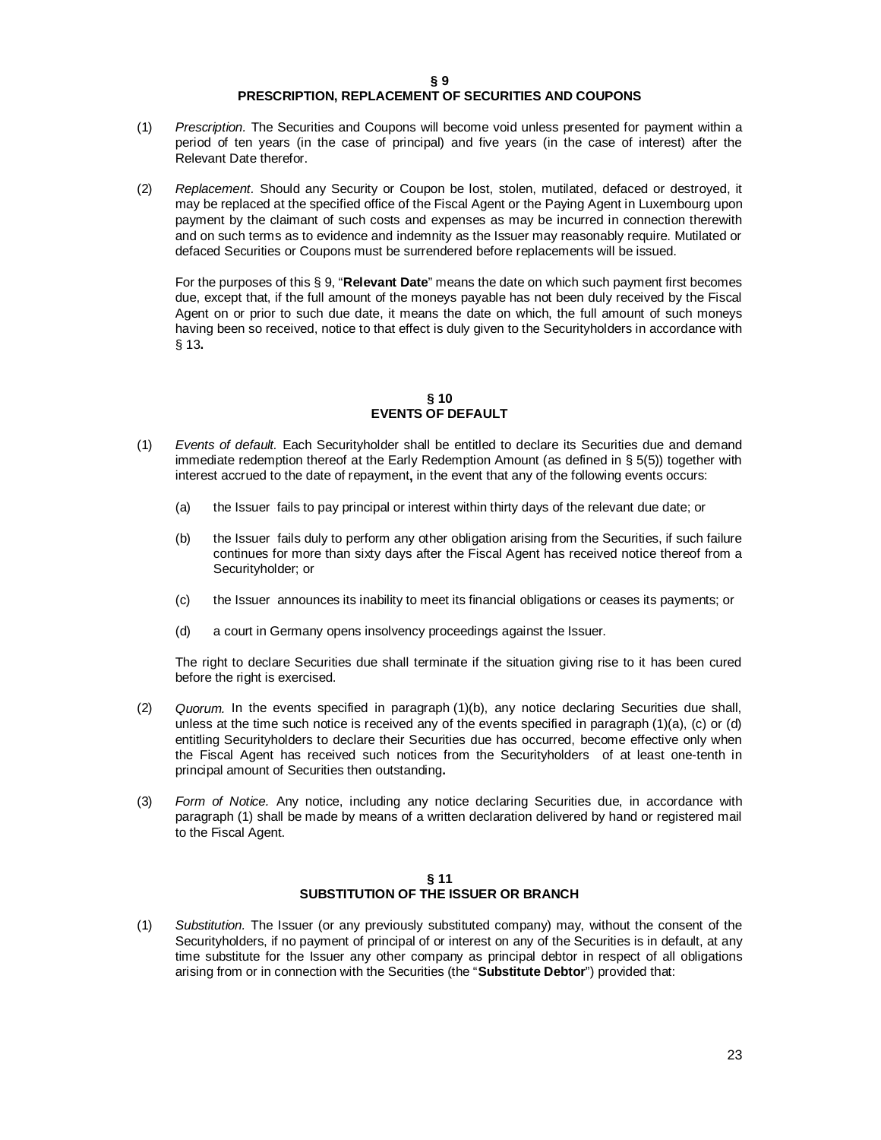#### **§ 9 PRESCRIPTION, REPLACEMENT OF SECURITIES AND COUPONS**

- (1) *Prescription.* The Securities and Coupons will become void unless presented for payment within a period of ten years (in the case of principal) and five years (in the case of interest) after the Relevant Date therefor.
- (2) *Replacement.* Should any Security or Coupon be lost, stolen, mutilated, defaced or destroyed, it may be replaced at the specified office of the Fiscal Agent or the Paying Agent in Luxembourg upon payment by the claimant of such costs and expenses as may be incurred in connection therewith and on such terms as to evidence and indemnity as the Issuer may reasonably require. Mutilated or defaced Securities or Coupons must be surrendered before replacements will be issued.

For the purposes of this § 9, "**Relevant Date**" means the date on which such payment first becomes due, except that, if the full amount of the moneys payable has not been duly received by the Fiscal Agent on or prior to such due date, it means the date on which, the full amount of such moneys having been so received, notice to that effect is duly given to the Securityholders in accordance with § 13**.**

## **§ 10 EVENTS OF DEFAULT**

- (1) *Events of default.* Each Securityholder shall be entitled to declare its Securities due and demand immediate redemption thereof at the Early Redemption Amount (as defined in § 5(5)) together with interest accrued to the date of repayment**,** in the event that any of the following events occurs:
	- (a) the Issuer fails to pay principal or interest within thirty days of the relevant due date; or
	- (b) the Issuer fails duly to perform any other obligation arising from the Securities, if such failure continues for more than sixty days after the Fiscal Agent has received notice thereof from a Securityholder; or
	- (c) the Issuer announces its inability to meet its financial obligations or ceases its payments; or
	- (d) a court in Germany opens insolvency proceedings against the Issuer.

The right to declare Securities due shall terminate if the situation giving rise to it has been cured before the right is exercised.

- (2) *Quorum.* In the events specified in paragraph (1)(b), any notice declaring Securities due shall, unless at the time such notice is received any of the events specified in paragraph (1)(a), (c) or (d) entitling Securityholders to declare their Securities due has occurred, become effective only when the Fiscal Agent has received such notices from the Securityholders of at least one-tenth in principal amount of Securities then outstanding**.**
- (3) *Form of Notice.* Any notice, including any notice declaring Securities due, in accordance with paragraph (1) shall be made by means of a written declaration delivered by hand or registered mail to the Fiscal Agent.

#### **§ 11 SUBSTITUTION OF THE ISSUER OR BRANCH**

(1) *Substitution.* The Issuer (or any previously substituted company) may, without the consent of the Securityholders, if no payment of principal of or interest on any of the Securities is in default, at any time substitute for the Issuer any other company as principal debtor in respect of all obligations arising from or in connection with the Securities (the "**Substitute Debtor**") provided that: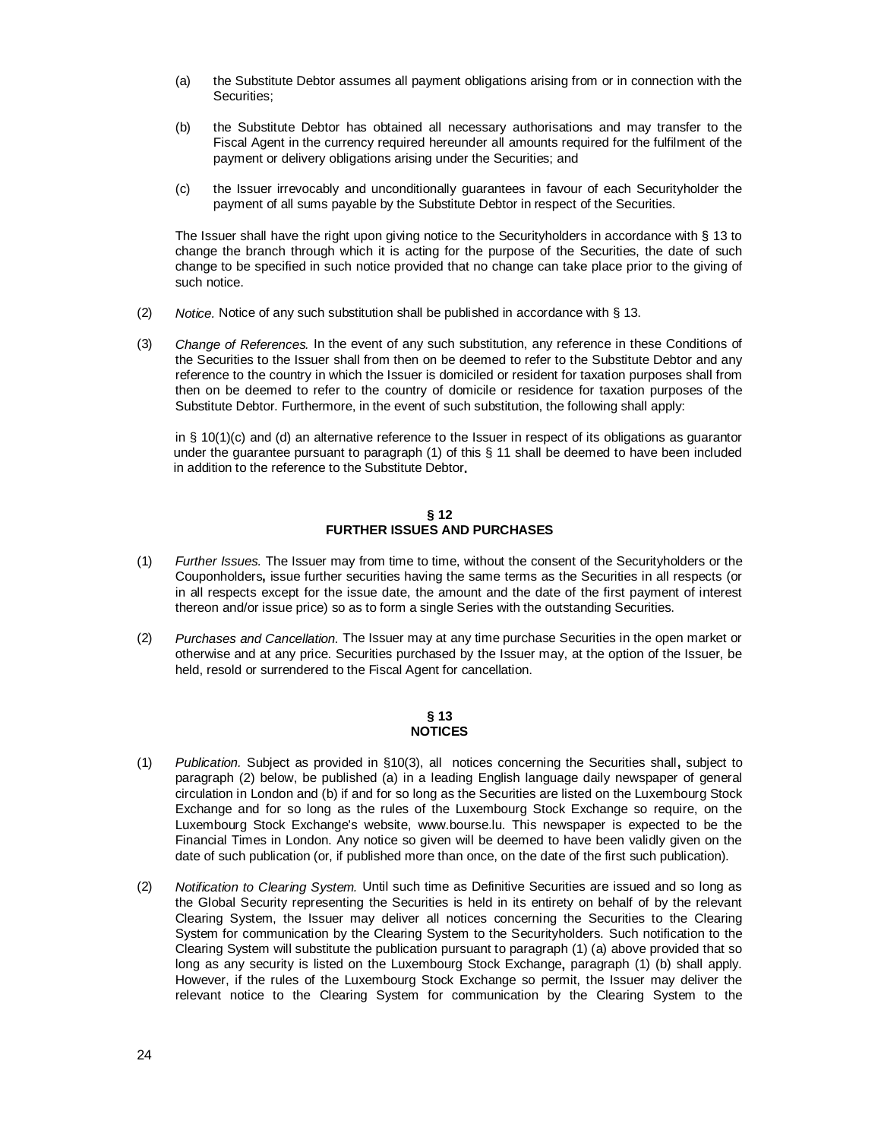- (a) the Substitute Debtor assumes all payment obligations arising from or in connection with the Securities;
- (b) the Substitute Debtor has obtained all necessary authorisations and may transfer to the Fiscal Agent in the currency required hereunder all amounts required for the fulfilment of the payment or delivery obligations arising under the Securities; and
- (c) the Issuer irrevocably and unconditionally guarantees in favour of each Securityholder the payment of all sums payable by the Substitute Debtor in respect of the Securities.

The Issuer shall have the right upon giving notice to the Securityholders in accordance with § 13 to change the branch through which it is acting for the purpose of the Securities, the date of such change to be specified in such notice provided that no change can take place prior to the giving of such notice.

- (2) *Notice.* Notice of any such substitution shall be published in accordance with § 13.
- (3) *Change of References.* In the event of any such substitution, any reference in these Conditions of the Securities to the Issuer shall from then on be deemed to refer to the Substitute Debtor and any reference to the country in which the Issuer is domiciled or resident for taxation purposes shall from then on be deemed to refer to the country of domicile or residence for taxation purposes of the Substitute Debtor. Furthermore, in the event of such substitution, the following shall apply:

in § 10(1)(c) and (d) an alternative reference to the Issuer in respect of its obligations as guarantor under the guarantee pursuant to paragraph (1) of this § 11 shall be deemed to have been included in addition to the reference to the Substitute Debtor**.**

#### **§ 12 FURTHER ISSUES AND PURCHASES**

- (1) *Further Issues.* The Issuer may from time to time, without the consent of the Securityholders or the Couponholders**,** issue further securities having the same terms as the Securities in all respects (or in all respects except for the issue date, the amount and the date of the first payment of interest thereon and/or issue price) so as to form a single Series with the outstanding Securities.
- (2) *Purchases and Cancellation.* The Issuer may at any time purchase Securities in the open market or otherwise and at any price. Securities purchased by the Issuer may, at the option of the Issuer, be held, resold or surrendered to the Fiscal Agent for cancellation.

#### **§ 13 NOTICES**

- (1) *Publication.* Subject as provided in §10(3), all notices concerning the Securities shall**,** subject to paragraph (2) below, be published (a) in a leading English language daily newspaper of general circulation in London and (b) if and for so long as the Securities are listed on the Luxembourg Stock Exchange and for so long as the rules of the Luxembourg Stock Exchange so require, on the Luxembourg Stock Exchange's website, [www.bourse.lu.](http://www.bourse.lu.) This newspaper is expected to be the Financial Times in London. Any notice so given will be deemed to have been validly given on the date of such publication (or, if published more than once, on the date of the first such publication).
- (2) *Notification to Clearing System.* Until such time as Definitive Securities are issued and so long as the Global Security representing the Securities is held in its entirety on behalf of by the relevant Clearing System, the Issuer may deliver all notices concerning the Securities to the Clearing System for communication by the Clearing System to the Securityholders. Such notification to the Clearing System will substitute the publication pursuant to paragraph (1) (a) above provided that so long as any security is listed on the Luxembourg Stock Exchange**,** paragraph (1) (b) shall apply. However, if the rules of the Luxembourg Stock Exchange so permit, the Issuer may deliver the relevant notice to the Clearing System for communication by the Clearing System to the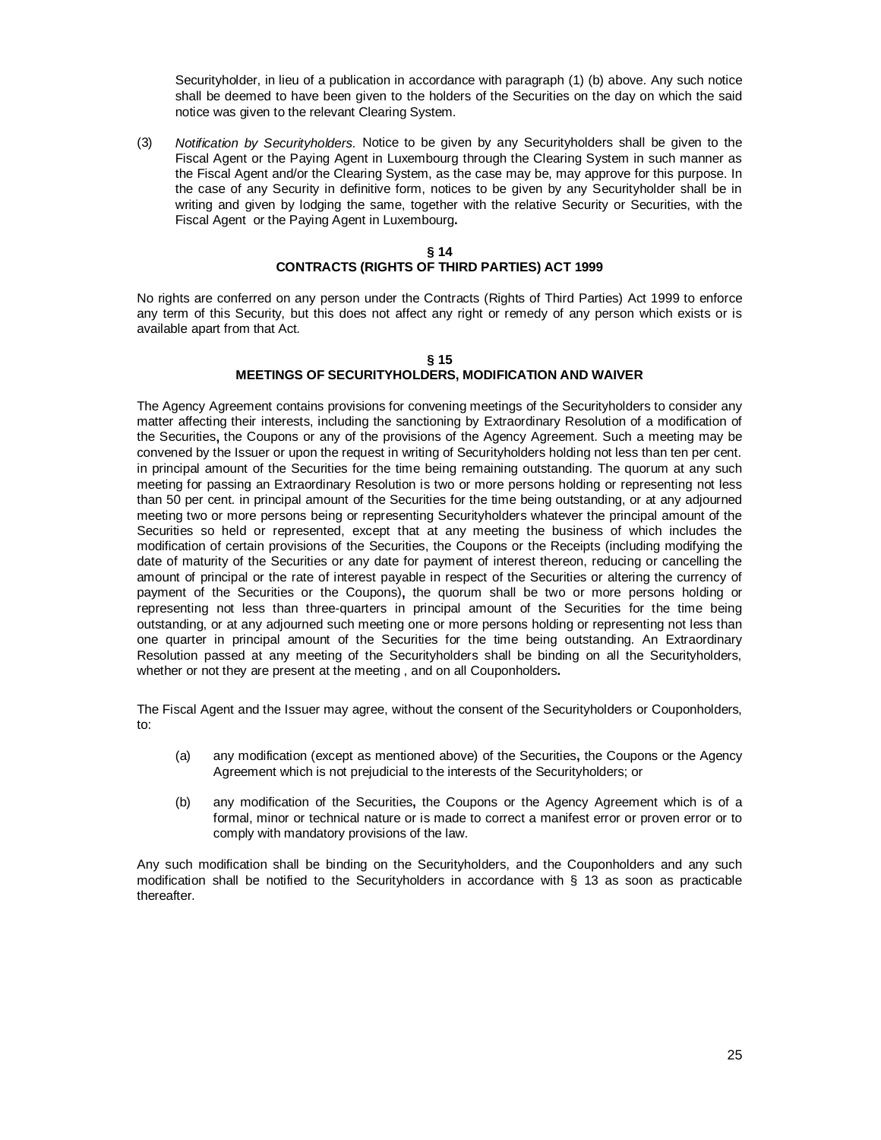Securityholder, in lieu of a publication in accordance with paragraph (1) (b) above. Any such notice shall be deemed to have been given to the holders of the Securities on the day on which the said notice was given to the relevant Clearing System.

(3) *Notification by Securityholders.* Notice to be given by any Securityholders shall be given to the Fiscal Agent or the Paying Agent in Luxembourg through the Clearing System in such manner as the Fiscal Agent and/or the Clearing System, as the case may be, may approve for this purpose. In the case of any Security in definitive form, notices to be given by any Securityholder shall be in writing and given by lodging the same, together with the relative Security or Securities, with the Fiscal Agent or the Paying Agent in Luxembourg**.**

### **§ 14 CONTRACTS (RIGHTS OF THIRD PARTIES) ACT 1999**

No rights are conferred on any person under the Contracts (Rights of Third Parties) Act 1999 to enforce any term of this Security, but this does not affect any right or remedy of any person which exists or is available apart from that Act.

#### **§ 15 MEETINGS OF SECURITYHOLDERS, MODIFICATION AND WAIVER**

The Agency Agreement contains provisions for convening meetings of the Securityholders to consider any matter affecting their interests, including the sanctioning by Extraordinary Resolution of a modification of the Securities**,** the Coupons or any of the provisions of the Agency Agreement. Such a meeting may be convened by the Issuer or upon the request in writing of Securityholders holding not less than ten per cent. in principal amount of the Securities for the time being remaining outstanding. The quorum at any such meeting for passing an Extraordinary Resolution is two or more persons holding or representing not less than 50 per cent. in principal amount of the Securities for the time being outstanding, or at any adjourned meeting two or more persons being or representing Securityholders whatever the principal amount of the Securities so held or represented, except that at any meeting the business of which includes the modification of certain provisions of the Securities, the Coupons or the Receipts (including modifying the date of maturity of the Securities or any date for payment of interest thereon, reducing or cancelling the amount of principal or the rate of interest payable in respect of the Securities or altering the currency of payment of the Securities or the Coupons)**,** the quorum shall be two or more persons holding or representing not less than three-quarters in principal amount of the Securities for the time being outstanding, or at any adjourned such meeting one or more persons holding or representing not less than one quarter in principal amount of the Securities for the time being outstanding. An Extraordinary Resolution passed at any meeting of the Securityholders shall be binding on all the Securityholders, whether or not they are present at the meeting , and on all Couponholders**.**

The Fiscal Agent and the Issuer may agree, without the consent of the Securityholders or Couponholders, to:

- (a) any modification (except as mentioned above) of the Securities**,** the Coupons or the Agency Agreement which is not prejudicial to the interests of the Securityholders; or
- (b) any modification of the Securities**,** the Coupons or the Agency Agreement which is of a formal, minor or technical nature or is made to correct a manifest error or proven error or to comply with mandatory provisions of the law.

Any such modification shall be binding on the Securityholders, and the Couponholders and any such modification shall be notified to the Securityholders in accordance with § 13 as soon as practicable thereafter.